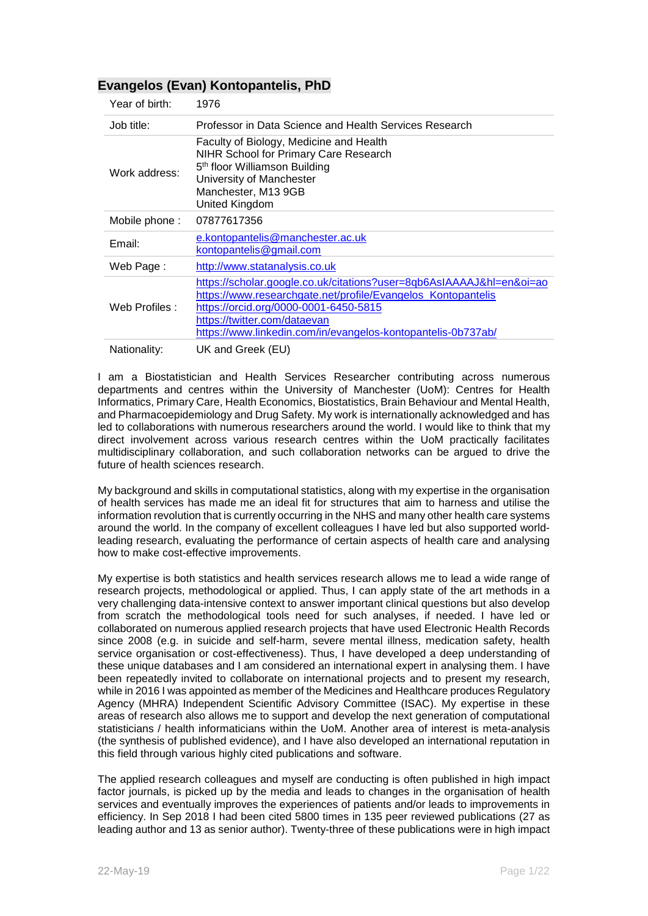## **Evangelos (Evan) Kontopantelis, PhD**

| Year of birth: | 1976                                                                                                                                                                                                                                                                          |
|----------------|-------------------------------------------------------------------------------------------------------------------------------------------------------------------------------------------------------------------------------------------------------------------------------|
| Job title:     | Professor in Data Science and Health Services Research                                                                                                                                                                                                                        |
| Work address:  | Faculty of Biology, Medicine and Health<br><b>NIHR School for Primary Care Research</b><br>5 <sup>th</sup> floor Williamson Building<br>University of Manchester<br>Manchester, M13 9GB<br>United Kingdom                                                                     |
| Mobile phone:  | 07877617356                                                                                                                                                                                                                                                                   |
| Email:         | <u>e.kontopantelis@manchester.ac.uk</u><br>kontopantelis@gmail.com                                                                                                                                                                                                            |
| Web Page:      | http://www.statanalysis.co.uk                                                                                                                                                                                                                                                 |
| Web Profiles:  | https://scholar.google.co.uk/citations?user=8qb6AsIAAAAJ&hl=en&oi=ao<br>https://www.researchgate.net/profile/Evangelos Kontopantelis<br>https://orcid.org/0000-0001-6450-5815<br>https://twitter.com/dataevan<br>https://www.linkedin.com/in/evangelos-kontopantelis-0b737ab/ |
| Nationality:   | UK and Greek (EU)                                                                                                                                                                                                                                                             |

I am a Biostatistician and Health Services Researcher contributing across numerous departments and centres within the University of Manchester (UoM): Centres for Health Informatics, Primary Care, Health Economics, Biostatistics, Brain Behaviour and Mental Health, and Pharmacoepidemiology and Drug Safety. My work is internationally acknowledged and has led to collaborations with numerous researchers around the world. I would like to think that my direct involvement across various research centres within the UoM practically facilitates multidisciplinary collaboration, and such collaboration networks can be argued to drive the future of health sciences research.

My background and skills in computational statistics, along with my expertise in the organisation of health services has made me an ideal fit for structures that aim to harness and utilise the information revolution that is currently occurring in the NHS and many other health care systems around the world. In the company of excellent colleagues I have led but also supported worldleading research, evaluating the performance of certain aspects of health care and analysing how to make cost-effective improvements.

My expertise is both statistics and health services research allows me to lead a wide range of research projects, methodological or applied. Thus, I can apply state of the art methods in a very challenging data-intensive context to answer important clinical questions but also develop from scratch the methodological tools need for such analyses, if needed. I have led or collaborated on numerous applied research projects that have used Electronic Health Records since 2008 (e.g. in suicide and self-harm, severe mental illness, medication safety, health service organisation or cost-effectiveness). Thus, I have developed a deep understanding of these unique databases and I am considered an international expert in analysing them. I have been repeatedly invited to collaborate on international projects and to present my research, while in 2016 I was appointed as member of the Medicines and Healthcare produces Regulatory Agency (MHRA) Independent Scientific Advisory Committee (ISAC). My expertise in these areas of research also allows me to support and develop the next generation of computational statisticians / health informaticians within the UoM. Another area of interest is meta-analysis (the synthesis of published evidence), and I have also developed an international reputation in this field through various highly cited publications and software.

The applied research colleagues and myself are conducting is often published in high impact factor journals, is picked up by the media and leads to changes in the organisation of health services and eventually improves the experiences of patients and/or leads to improvements in efficiency. In Sep 2018 I had been cited 5800 times in 135 peer reviewed publications (27 as leading author and 13 as senior author). Twenty-three of these publications were in high impact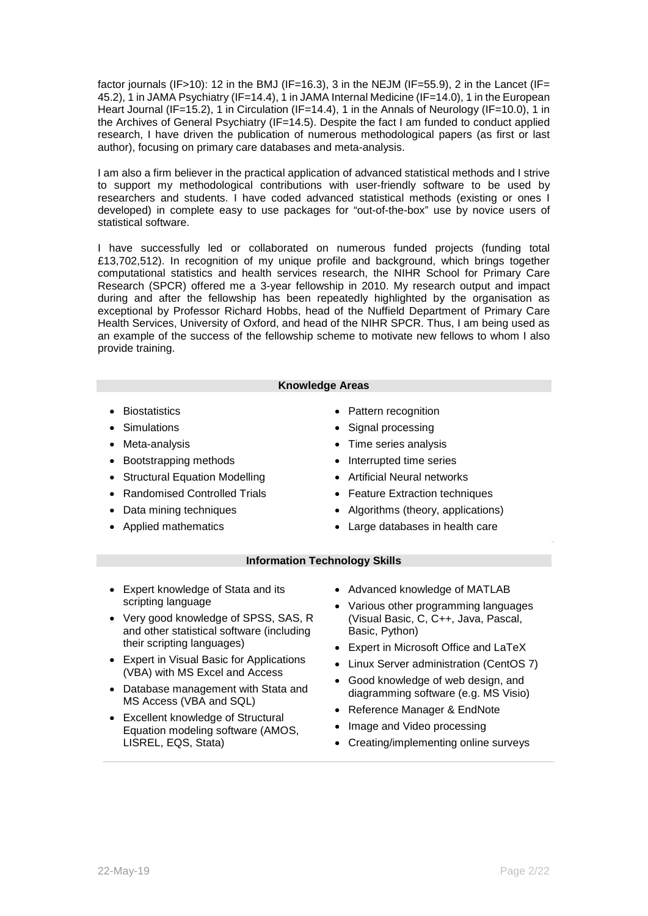factor journals (IF>10): 12 in the BMJ (IF=16.3), 3 in the NEJM (IF=55.9), 2 in the Lancet (IF= 45.2), 1 in JAMA Psychiatry (IF=14.4), 1 in JAMA Internal Medicine (IF=14.0), 1 in the European Heart Journal (IF=15.2), 1 in Circulation (IF=14.4), 1 in the Annals of Neurology (IF=10.0), 1 in the Archives of General Psychiatry (IF=14.5). Despite the fact I am funded to conduct applied research, I have driven the publication of numerous methodological papers (as first or last author), focusing on primary care databases and meta-analysis.

I am also a firm believer in the practical application of advanced statistical methods and I strive to support my methodological contributions with user-friendly software to be used by researchers and students. I have coded advanced statistical methods (existing or ones I developed) in complete easy to use packages for "out-of-the-box" use by novice users of statistical software.

I have successfully led or collaborated on numerous funded projects (funding total [£13,702,512\)](#page-3-0). In recognition of my unique profile and background, which brings together computational statistics and health services research, the NIHR School for Primary Care Research (SPCR) offered me a 3-year fellowship in 2010. My research output and impact during and after the fellowship has been repeatedly highlighted by the organisation as exceptional by Professor Richard Hobbs, head of the Nuffield Department of Primary Care Health Services, University of Oxford, and head of the NIHR SPCR. Thus, I am being used as an example of the success of the fellowship scheme to motivate new fellows to whom I also provide training.

## **Knowledge Areas**

- Biostatistics
- Simulations
- Meta-analysis
- Bootstrapping methods
- Structural Equation Modelling
- Randomised Controlled Trials
- Data mining techniques
- Applied mathematics
- Pattern recognition
- Signal processing
- Time series analysis
- Interrupted time series
- Artificial Neural networks
- **Feature Extraction techniques**
- Algorithms (theory, applications)
- Large databases in health care

## **Information Technology Skills**

- Expert knowledge of Stata and its scripting language
- Very good knowledge of SPSS, SAS, R and other statistical software (including their scripting languages)
- Expert in Visual Basic for Applications (VBA) with MS Excel and Access
- Database management with Stata and MS Access (VBA and SQL)
- Excellent knowledge of Structural Equation modeling software (AMOS, LISREL, EQS, Stata)
- Advanced knowledge of MATLAB
- Various other programming languages (Visual Basic, C, C++, Java, Pascal, Basic, Python)
- Expert in Microsoft Office and LaTeX
- Linux Server administration (CentOS 7)
- Good knowledge of web design, and diagramming software (e.g. MS Visio)
- Reference Manager & EndNote
- Image and Video processing
- Creating/implementing online surveys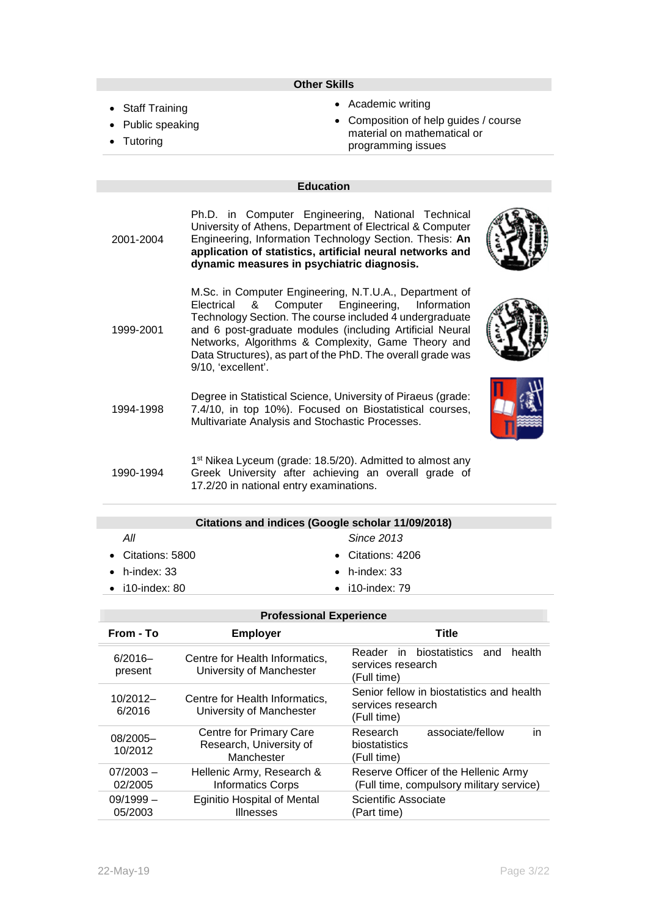#### **Other Skills**

- Staff Training
- Public speaking
- Tutoring
- Academic writing
- Composition of help guides / course material on mathematical or programming issues

## **Education**

2001-2004 Ph.D. in Computer Engineering, National Technical University of Athens, Department of Electrical & Computer Engineering, Information Technology Section. Thesis: **An application of statistics, artificial neural networks and dynamic measures in psychiatric diagnosis.**  M.Sc. in Computer Engineering, N.T.U.A., Department of

1999-2001 Electrical & Computer Engineering, Information Technology Section. The course included 4 undergraduate and 6 post-graduate modules (including Artificial Neural Networks, Algorithms & Complexity, Game Theory and Data Structures), as part of the PhD. The overall grade was 9/10, 'excellent'.

1994-1998 Degree in Statistical Science, University of Piraeus (grade: 7.4/10, in top 10%). Focused on Biostatistical courses, Multivariate Analysis and Stochastic Processes.



1990-1994 1<sup>st</sup> Nikea Lyceum (grade: 18.5/20). Admitted to almost any Greek University after achieving an overall grade of 17.2/20 in national entry examinations.

| Citations and indices (Google scholar 11/09/2018) |                         |  |  |  |  |
|---------------------------------------------------|-------------------------|--|--|--|--|
| All                                               | Since 2013              |  |  |  |  |
| • Citations: $5800$                               | • Citations: $4206$     |  |  |  |  |
| $\bullet$ h-index: 33                             | $\bullet$ h-index: 33   |  |  |  |  |
| $\bullet$ i10-index: 80                           | $\bullet$ i10-index: 79 |  |  |  |  |
|                                                   |                         |  |  |  |  |

|                        | <b>Professional Experience</b>                                   |                                                                                  |
|------------------------|------------------------------------------------------------------|----------------------------------------------------------------------------------|
| From - To              | <b>Employer</b>                                                  | <b>Title</b>                                                                     |
| $6/2016 -$<br>present  | Centre for Health Informatics,<br>University of Manchester       | Reader in biostatistics and<br>health<br>services research<br>(Full time)        |
| $10/2012-$<br>6/2016   | Centre for Health Informatics,<br>University of Manchester       | Senior fellow in biostatistics and health<br>services research<br>(Full time)    |
| 08/2005-<br>10/2012    | Centre for Primary Care<br>Research, University of<br>Manchester | associate/fellow<br>in<br>Research<br>biostatistics<br>(Full time)               |
| $07/2003 -$<br>02/2005 | Hellenic Army, Research &<br><b>Informatics Corps</b>            | Reserve Officer of the Hellenic Army<br>(Full time, compulsory military service) |
| $09/1999 -$<br>05/2003 | <b>Eginitio Hospital of Mental</b><br><b>Illnesses</b>           | Scientific Associate<br>(Part time)                                              |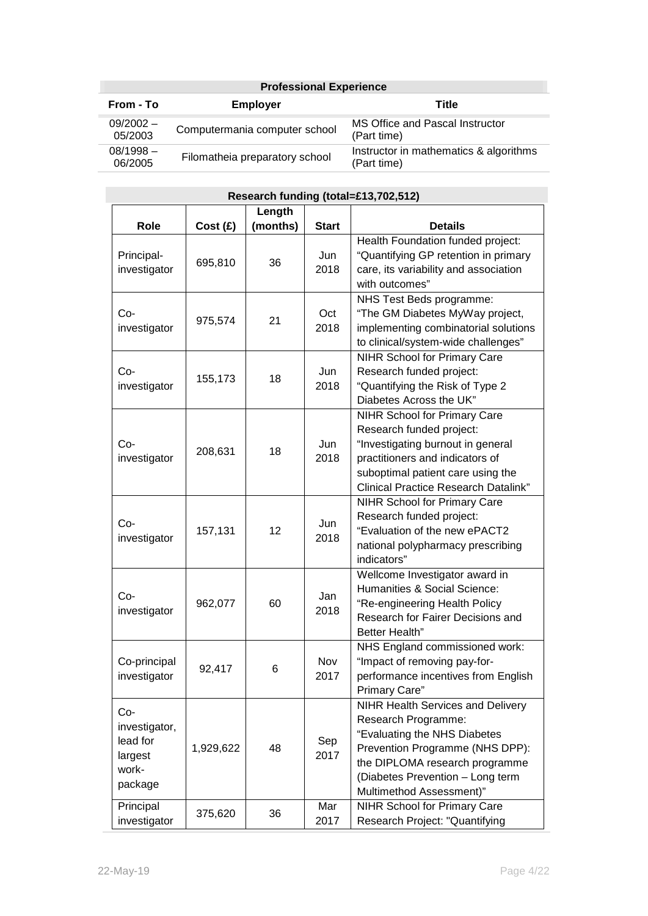| <b>Professional Experience</b>                          |                                |                                                       |  |  |
|---------------------------------------------------------|--------------------------------|-------------------------------------------------------|--|--|
| From - To                                               | <b>Employer</b>                | Title                                                 |  |  |
| $09/2002 -$<br>Computermania computer school<br>05/2003 |                                | MS Office and Pascal Instructor<br>(Part time)        |  |  |
| $08/1998 -$<br>06/2005                                  | Filomatheia preparatory school | Instructor in mathematics & algorithms<br>(Part time) |  |  |

|                                                                   |           |          |              | الاتا ق: ح.م. المارة المالية (المالية العامة) التي تقدم المالية التي تتم التي تتم التي تتم التي تتم                                                                                                                                  |
|-------------------------------------------------------------------|-----------|----------|--------------|--------------------------------------------------------------------------------------------------------------------------------------------------------------------------------------------------------------------------------------|
|                                                                   |           | Length   |              |                                                                                                                                                                                                                                      |
| Role                                                              | Cost(E)   | (months) | <b>Start</b> | <b>Details</b>                                                                                                                                                                                                                       |
| Principal-<br>investigator                                        | 695,810   | 36       | Jun<br>2018  | Health Foundation funded project:<br>"Quantifying GP retention in primary<br>care, its variability and association<br>with outcomes"                                                                                                 |
| $Co-$<br>investigator                                             | 975,574   | 21       | Oct<br>2018  | NHS Test Beds programme:<br>"The GM Diabetes MyWay project,<br>implementing combinatorial solutions<br>to clinical/system-wide challenges"                                                                                           |
| Co-<br>investigator                                               | 155,173   | 18       | Jun<br>2018  | <b>NIHR School for Primary Care</b><br>Research funded project:<br>"Quantifying the Risk of Type 2<br>Diabetes Across the UK"                                                                                                        |
| $Co-$<br>investigator                                             | 208,631   | 18       | Jun<br>2018  | <b>NIHR School for Primary Care</b><br>Research funded project:<br>"Investigating burnout in general<br>practitioners and indicators of<br>suboptimal patient care using the<br><b>Clinical Practice Research Datalink"</b>          |
| Co-<br>investigator                                               | 157,131   | 12       | Jun<br>2018  | <b>NIHR School for Primary Care</b><br>Research funded project:<br>"Evaluation of the new ePACT2<br>national polypharmacy prescribing<br>indicators"                                                                                 |
| $Co-$<br>investigator                                             | 962,077   | 60       | Jan<br>2018  | Wellcome Investigator award in<br>Humanities & Social Science:<br>"Re-engineering Health Policy<br>Research for Fairer Decisions and<br>Better Health"                                                                               |
| Co-principal<br>investigator                                      | 92,417    | 6        | Nov<br>2017  | NHS England commissioned work:<br>"Impact of removing pay-for-<br>performance incentives from English<br>Primary Care"                                                                                                               |
| $Co-$<br>investigator,<br>lead for<br>largest<br>work-<br>package | 1,929,622 | 48       | Sep<br>2017  | <b>NIHR Health Services and Delivery</b><br>Research Programme:<br>"Evaluating the NHS Diabetes<br>Prevention Programme (NHS DPP):<br>the DIPLOMA research programme<br>(Diabetes Prevention - Long term<br>Multimethod Assessment)" |
| Principal<br>investigator                                         | 375,620   | 36       | Mar<br>2017  | <b>NIHR School for Primary Care</b><br>Research Project: "Quantifying                                                                                                                                                                |

# <span id="page-3-0"></span>**Research funding (total=£13,702,512)**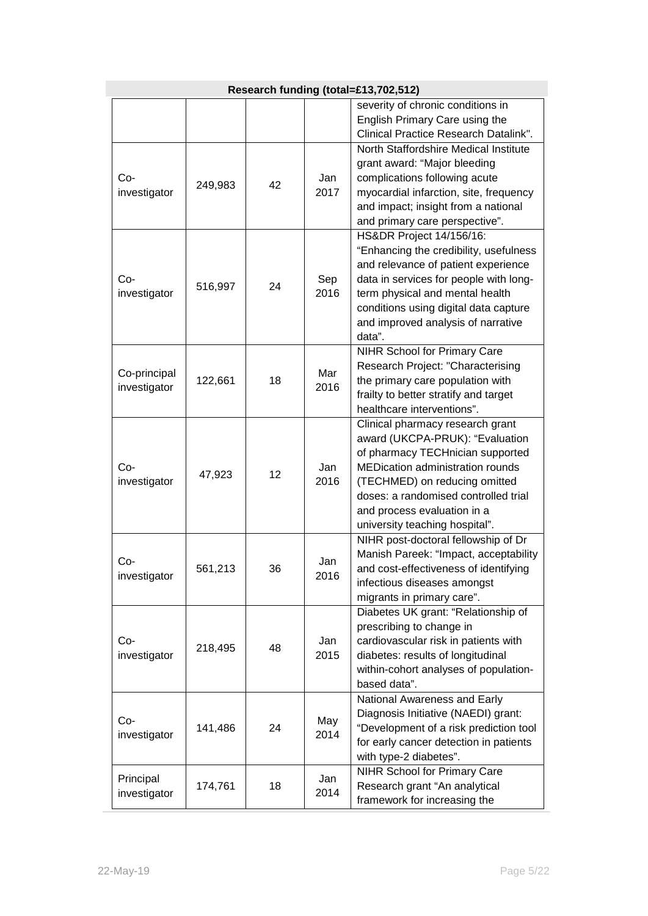| Research funding (total=£13,702,512) |         |    |             |                                                                                                                                                                                                                                                                                              |  |
|--------------------------------------|---------|----|-------------|----------------------------------------------------------------------------------------------------------------------------------------------------------------------------------------------------------------------------------------------------------------------------------------------|--|
|                                      |         |    |             | severity of chronic conditions in<br>English Primary Care using the<br>Clinical Practice Research Datalink".                                                                                                                                                                                 |  |
| Co-<br>investigator                  | 249,983 | 42 | Jan<br>2017 | North Staffordshire Medical Institute<br>grant award: "Major bleeding<br>complications following acute<br>myocardial infarction, site, frequency<br>and impact; insight from a national<br>and primary care perspective".                                                                    |  |
| Co-<br>investigator                  | 516,997 | 24 | Sep<br>2016 | HS&DR Project 14/156/16:<br>"Enhancing the credibility, usefulness<br>and relevance of patient experience<br>data in services for people with long-<br>term physical and mental health<br>conditions using digital data capture<br>and improved analysis of narrative<br>data".              |  |
| Co-principal<br>investigator         | 122,661 | 18 | Mar<br>2016 | <b>NIHR School for Primary Care</b><br>Research Project: "Characterising<br>the primary care population with<br>frailty to better stratify and target<br>healthcare interventions".                                                                                                          |  |
| Co-<br>investigator                  | 47,923  | 12 | Jan<br>2016 | Clinical pharmacy research grant<br>award (UKCPA-PRUK): "Evaluation<br>of pharmacy TECHnician supported<br><b>MEDication administration rounds</b><br>(TECHMED) on reducing omitted<br>doses: a randomised controlled trial<br>and process evaluation in a<br>university teaching hospital". |  |
| Co-<br>investigator                  | 561,213 | 36 | Jan<br>2016 | NIHR post-doctoral fellowship of Dr<br>Manish Pareek: "Impact, acceptability<br>and cost-effectiveness of identifying<br>infectious diseases amongst<br>migrants in primary care".                                                                                                           |  |
| Co-<br>investigator                  | 218,495 | 48 | Jan<br>2015 | Diabetes UK grant: "Relationship of<br>prescribing to change in<br>cardiovascular risk in patients with<br>diabetes: results of longitudinal<br>within-cohort analyses of population-<br>based data".                                                                                        |  |
| Co-<br>investigator                  | 141,486 | 24 | May<br>2014 | National Awareness and Early<br>Diagnosis Initiative (NAEDI) grant:<br>"Development of a risk prediction tool<br>for early cancer detection in patients<br>with type-2 diabetes".                                                                                                            |  |
| Principal<br>investigator            | 174,761 | 18 | Jan<br>2014 | <b>NIHR School for Primary Care</b><br>Research grant "An analytical<br>framework for increasing the                                                                                                                                                                                         |  |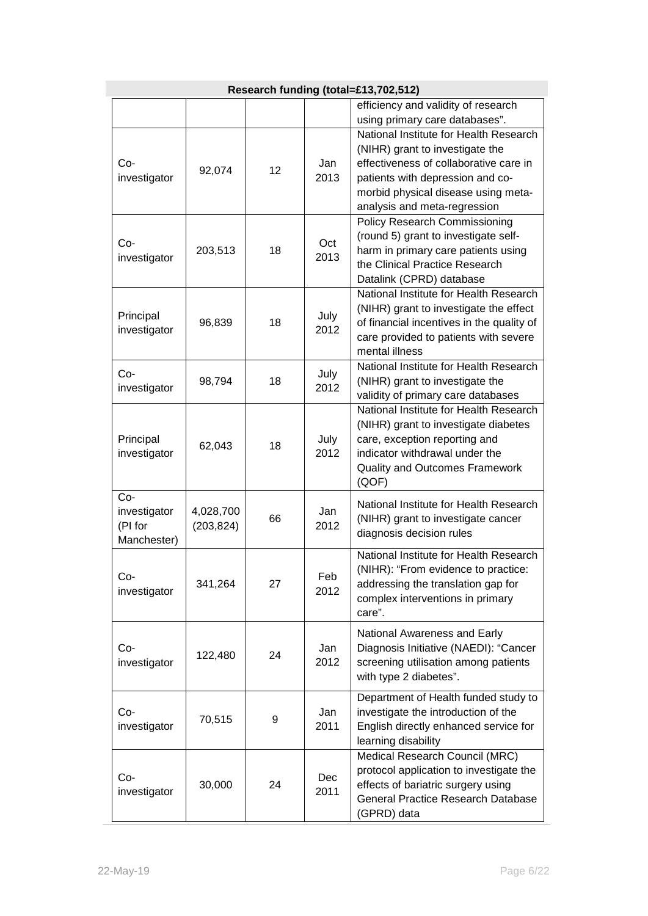| Research funding (total=£13,702,512)          |                         |    |              |                                                                                                                                                                                                                                                                  |  |
|-----------------------------------------------|-------------------------|----|--------------|------------------------------------------------------------------------------------------------------------------------------------------------------------------------------------------------------------------------------------------------------------------|--|
|                                               |                         |    |              | efficiency and validity of research                                                                                                                                                                                                                              |  |
| $Co-$<br>investigator                         | 92,074                  | 12 | Jan<br>2013  | using primary care databases".<br>National Institute for Health Research<br>(NIHR) grant to investigate the<br>effectiveness of collaborative care in<br>patients with depression and co-<br>morbid physical disease using meta-<br>analysis and meta-regression |  |
| $Co-$<br>investigator                         | 203,513                 | 18 | Oct<br>2013  | Policy Research Commissioning<br>(round 5) grant to investigate self-<br>harm in primary care patients using<br>the Clinical Practice Research<br>Datalink (CPRD) database                                                                                       |  |
| Principal<br>investigator                     | 96,839                  | 18 | July<br>2012 | National Institute for Health Research<br>(NIHR) grant to investigate the effect<br>of financial incentives in the quality of<br>care provided to patients with severe<br>mental illness                                                                         |  |
| $Co-$<br>investigator                         | 98,794                  | 18 | July<br>2012 | National Institute for Health Research<br>(NIHR) grant to investigate the<br>validity of primary care databases                                                                                                                                                  |  |
| Principal<br>investigator                     | 62,043                  | 18 | July<br>2012 | National Institute for Health Research<br>(NIHR) grant to investigate diabetes<br>care, exception reporting and<br>indicator withdrawal under the<br><b>Quality and Outcomes Framework</b><br>(QOF)                                                              |  |
| Co-<br>investigator<br>(PI for<br>Manchester) | 4,028,700<br>(203, 824) | 66 | Jan.<br>2012 | National Institute for Health Research<br>(NIHR) grant to investigate cancer<br>diagnosis decision rules                                                                                                                                                         |  |
| Co-<br>investigator                           | 341,264                 | 27 | Feb<br>2012  | National Institute for Health Research<br>(NIHR): "From evidence to practice:<br>addressing the translation gap for<br>complex interventions in primary<br>care".                                                                                                |  |
| $Co-$<br>investigator                         | 122,480                 | 24 | Jan<br>2012  | National Awareness and Early<br>Diagnosis Initiative (NAEDI): "Cancer<br>screening utilisation among patients<br>with type 2 diabetes".                                                                                                                          |  |
| Co-<br>investigator                           | 70,515                  | 9  | Jan<br>2011  | Department of Health funded study to<br>investigate the introduction of the<br>English directly enhanced service for<br>learning disability                                                                                                                      |  |
| $Co-$<br>investigator                         | 30,000                  | 24 | Dec<br>2011  | Medical Research Council (MRC)<br>protocol application to investigate the<br>effects of bariatric surgery using<br><b>General Practice Research Database</b><br>(GPRD) data                                                                                      |  |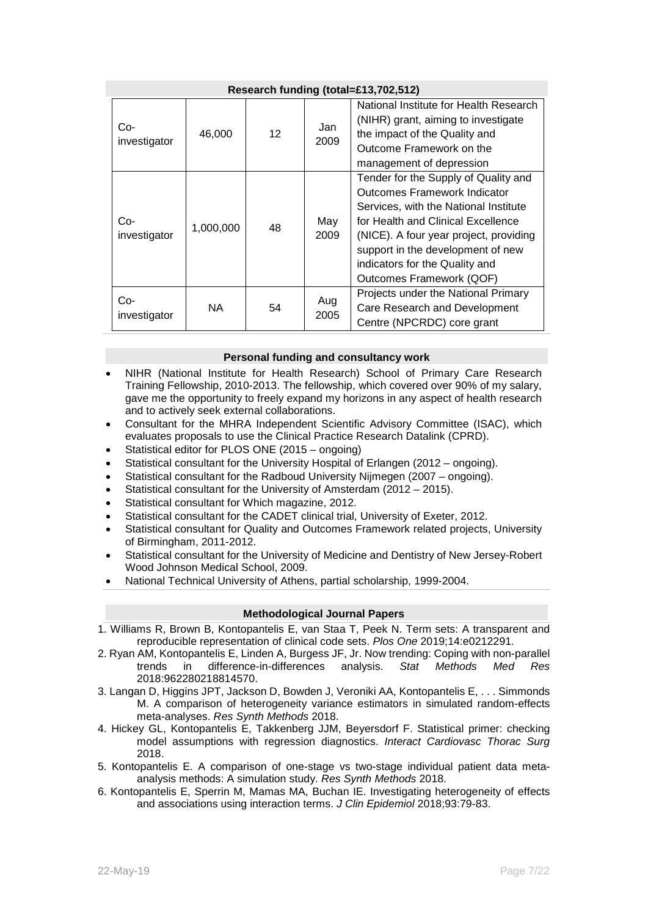| Research funding (total=£13,702,512) |           |                   |             |                                                                                                                                                                                                                                                                                                  |  |  |
|--------------------------------------|-----------|-------------------|-------------|--------------------------------------------------------------------------------------------------------------------------------------------------------------------------------------------------------------------------------------------------------------------------------------------------|--|--|
| Co-<br>investigator                  | 46,000    | $12 \overline{ }$ | Jan<br>2009 | National Institute for Health Research<br>(NIHR) grant, aiming to investigate<br>the impact of the Quality and<br>Outcome Framework on the<br>management of depression                                                                                                                           |  |  |
| Co-<br>investigator                  | 1,000,000 | 48                | May<br>2009 | Tender for the Supply of Quality and<br>Outcomes Framework Indicator<br>Services, with the National Institute<br>for Health and Clinical Excellence<br>(NICE). A four year project, providing<br>support in the development of new<br>indicators for the Quality and<br>Outcomes Framework (QOF) |  |  |
| Co-<br>investigator                  | NA.       | 54                | Aug<br>2005 | Projects under the National Primary<br>Care Research and Development<br>Centre (NPCRDC) core grant                                                                                                                                                                                               |  |  |

## **Personal funding and consultancy work**

- NIHR (National Institute for Health Research) School of Primary Care Research Training Fellowship, 2010-2013. The fellowship, which covered over 90% of my salary, gave me the opportunity to freely expand my horizons in any aspect of health research and to actively seek external collaborations.
- Consultant for the MHRA Independent Scientific Advisory Committee (ISAC), which evaluates proposals to use the Clinical Practice Research Datalink (CPRD).
- Statistical editor for PLOS ONE (2015 ongoing)
- Statistical consultant for the University Hospital of Erlangen (2012 ongoing).
- Statistical consultant for the Radboud University Nijmegen (2007 ongoing).
- Statistical consultant for the University of Amsterdam (2012 2015).
- Statistical consultant for Which magazine, 2012.
- Statistical consultant for the CADET clinical trial, University of Exeter, 2012.
- Statistical consultant for Quality and Outcomes Framework related projects, University of Birmingham, 2011-2012.
- Statistical consultant for the University of Medicine and Dentistry of New Jersey-Robert Wood Johnson Medical School, 2009.
- National Technical University of Athens, partial scholarship, 1999-2004.

## **Methodological Journal Papers**

- 1. Williams R, Brown B, Kontopantelis E, van Staa T, Peek N. Term sets: A transparent and reproducible representation of clinical code sets. *Plos One* 2019;14:e0212291.
- 2. Ryan AM, Kontopantelis E, Linden A, Burgess JF, Jr. Now trending: Coping with non-parallel trends in difference-in-differences analysis. *Stat Methods Med Res* 2018:962280218814570.
- 3. Langan D, Higgins JPT, Jackson D, Bowden J, Veroniki AA, Kontopantelis E, . . . Simmonds M. A comparison of heterogeneity variance estimators in simulated random-effects meta-analyses. *Res Synth Methods* 2018.
- 4. Hickey GL, Kontopantelis E, Takkenberg JJM, Beyersdorf F. Statistical primer: checking model assumptions with regression diagnostics. *Interact Cardiovasc Thorac Surg* 2018.
- 5. Kontopantelis E. A comparison of one-stage vs two-stage individual patient data metaanalysis methods: A simulation study. *Res Synth Methods* 2018.
- 6. Kontopantelis E, Sperrin M, Mamas MA, Buchan IE. Investigating heterogeneity of effects and associations using interaction terms. *J Clin Epidemiol* 2018;93:79-83.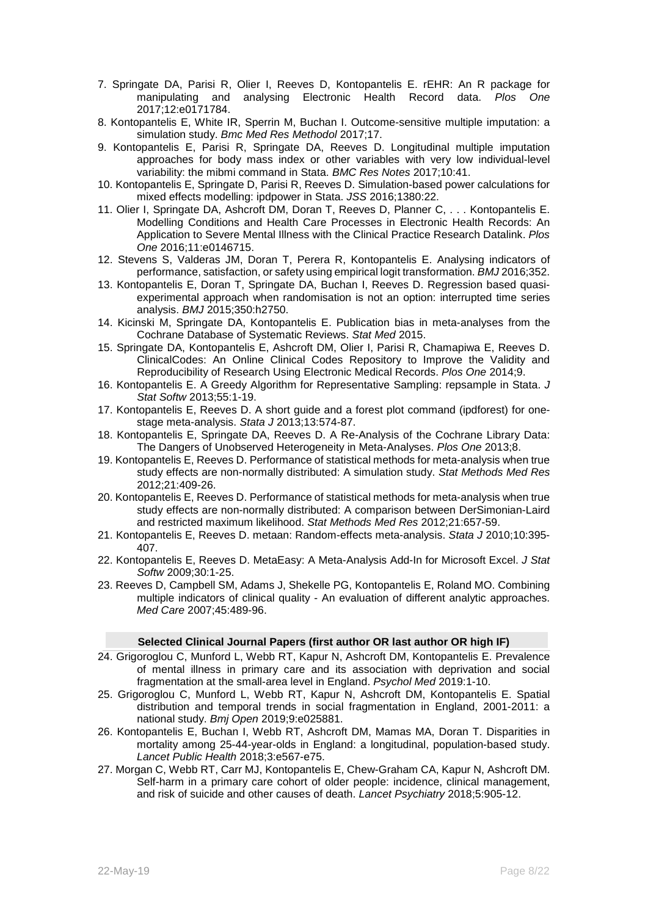- 7. Springate DA, Parisi R, Olier I, Reeves D, Kontopantelis E. rEHR: An R package for manipulating and analysing Electronic Health Record data. *Plos One* 2017;12:e0171784.
- 8. Kontopantelis E, White IR, Sperrin M, Buchan I. Outcome-sensitive multiple imputation: a simulation study. *Bmc Med Res Methodol* 2017;17.
- 9. Kontopantelis E, Parisi R, Springate DA, Reeves D. Longitudinal multiple imputation approaches for body mass index or other variables with very low individual-level variability: the mibmi command in Stata. *BMC Res Notes* 2017;10:41.
- 10. Kontopantelis E, Springate D, Parisi R, Reeves D. Simulation-based power calculations for mixed effects modelling: ipdpower in Stata. *JSS* 2016;1380:22.
- 11. Olier I, Springate DA, Ashcroft DM, Doran T, Reeves D, Planner C, . . . Kontopantelis E. Modelling Conditions and Health Care Processes in Electronic Health Records: An Application to Severe Mental Illness with the Clinical Practice Research Datalink. *Plos One* 2016;11:e0146715.
- 12. Stevens S, Valderas JM, Doran T, Perera R, Kontopantelis E. Analysing indicators of performance, satisfaction, or safety using empirical logit transformation. *BMJ* 2016;352.
- 13. Kontopantelis E, Doran T, Springate DA, Buchan I, Reeves D. Regression based quasiexperimental approach when randomisation is not an option: interrupted time series analysis. *BMJ* 2015;350:h2750.
- 14. Kicinski M, Springate DA, Kontopantelis E. Publication bias in meta-analyses from the Cochrane Database of Systematic Reviews. *Stat Med* 2015.
- 15. Springate DA, Kontopantelis E, Ashcroft DM, Olier I, Parisi R, Chamapiwa E, Reeves D. ClinicalCodes: An Online Clinical Codes Repository to Improve the Validity and Reproducibility of Research Using Electronic Medical Records. *Plos One* 2014;9.
- 16. Kontopantelis E. A Greedy Algorithm for Representative Sampling: repsample in Stata. *J Stat Softw* 2013;55:1-19.
- 17. Kontopantelis E, Reeves D. A short guide and a forest plot command (ipdforest) for onestage meta-analysis. *Stata J* 2013;13:574-87.
- 18. Kontopantelis E, Springate DA, Reeves D. A Re-Analysis of the Cochrane Library Data: The Dangers of Unobserved Heterogeneity in Meta-Analyses. *Plos One* 2013;8.
- 19. Kontopantelis E, Reeves D. Performance of statistical methods for meta-analysis when true study effects are non-normally distributed: A simulation study. *Stat Methods Med Res* 2012;21:409-26.
- 20. Kontopantelis E, Reeves D. Performance of statistical methods for meta-analysis when true study effects are non-normally distributed: A comparison between DerSimonian-Laird and restricted maximum likelihood. *Stat Methods Med Res* 2012;21:657-59.
- 21. Kontopantelis E, Reeves D. metaan: Random-effects meta-analysis. *Stata J* 2010;10:395- 407.
- 22. Kontopantelis E, Reeves D. MetaEasy: A Meta-Analysis Add-In for Microsoft Excel. *J Stat Softw* 2009;30:1-25.
- 23. Reeves D, Campbell SM, Adams J, Shekelle PG, Kontopantelis E, Roland MO. Combining multiple indicators of clinical quality - An evaluation of different analytic approaches. *Med Care* 2007;45:489-96.

#### **Selected Clinical Journal Papers (first author OR last author OR high IF)**

- 24. Grigoroglou C, Munford L, Webb RT, Kapur N, Ashcroft DM, Kontopantelis E. Prevalence of mental illness in primary care and its association with deprivation and social fragmentation at the small-area level in England. *Psychol Med* 2019:1-10.
- 25. Grigoroglou C, Munford L, Webb RT, Kapur N, Ashcroft DM, Kontopantelis E. Spatial distribution and temporal trends in social fragmentation in England, 2001-2011: a national study. *Bmj Open* 2019;9:e025881.
- 26. Kontopantelis E, Buchan I, Webb RT, Ashcroft DM, Mamas MA, Doran T. Disparities in mortality among 25-44-year-olds in England: a longitudinal, population-based study. *Lancet Public Health* 2018;3:e567-e75.
- 27. Morgan C, Webb RT, Carr MJ, Kontopantelis E, Chew-Graham CA, Kapur N, Ashcroft DM. Self-harm in a primary care cohort of older people: incidence, clinical management, and risk of suicide and other causes of death. *Lancet Psychiatry* 2018;5:905-12.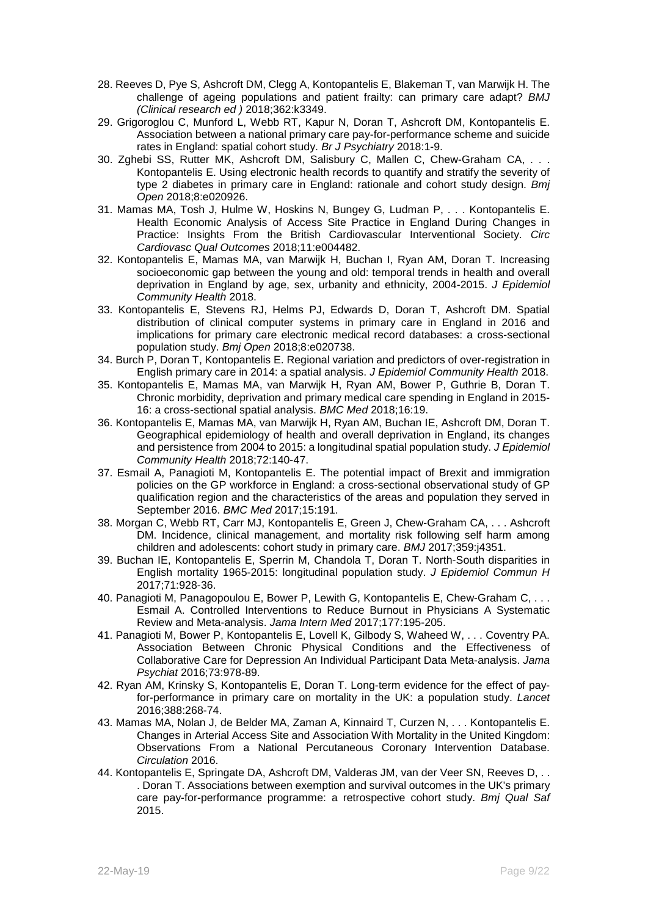- 28. Reeves D, Pye S, Ashcroft DM, Clegg A, Kontopantelis E, Blakeman T, van Marwijk H. The challenge of ageing populations and patient frailty: can primary care adapt? *BMJ (Clinical research ed )* 2018;362:k3349.
- 29. Grigoroglou C, Munford L, Webb RT, Kapur N, Doran T, Ashcroft DM, Kontopantelis E. Association between a national primary care pay-for-performance scheme and suicide rates in England: spatial cohort study. *Br J Psychiatry* 2018:1-9.
- 30. Zghebi SS, Rutter MK, Ashcroft DM, Salisbury C, Mallen C, Chew-Graham CA, . . . Kontopantelis E. Using electronic health records to quantify and stratify the severity of type 2 diabetes in primary care in England: rationale and cohort study design. *Bmj Open* 2018;8:e020926.
- 31. Mamas MA, Tosh J, Hulme W, Hoskins N, Bungey G, Ludman P, . . . Kontopantelis E. Health Economic Analysis of Access Site Practice in England During Changes in Practice: Insights From the British Cardiovascular Interventional Society. *Circ Cardiovasc Qual Outcomes* 2018;11:e004482.
- 32. Kontopantelis E, Mamas MA, van Marwijk H, Buchan I, Ryan AM, Doran T. Increasing socioeconomic gap between the young and old: temporal trends in health and overall deprivation in England by age, sex, urbanity and ethnicity, 2004-2015. *J Epidemiol Community Health* 2018.
- 33. Kontopantelis E, Stevens RJ, Helms PJ, Edwards D, Doran T, Ashcroft DM. Spatial distribution of clinical computer systems in primary care in England in 2016 and implications for primary care electronic medical record databases: a cross-sectional population study. *Bmj Open* 2018;8:e020738.
- 34. Burch P, Doran T, Kontopantelis E. Regional variation and predictors of over-registration in English primary care in 2014: a spatial analysis. *J Epidemiol Community Health* 2018.
- 35. Kontopantelis E, Mamas MA, van Marwijk H, Ryan AM, Bower P, Guthrie B, Doran T. Chronic morbidity, deprivation and primary medical care spending in England in 2015- 16: a cross-sectional spatial analysis. *BMC Med* 2018;16:19.
- 36. Kontopantelis E, Mamas MA, van Marwijk H, Ryan AM, Buchan IE, Ashcroft DM, Doran T. Geographical epidemiology of health and overall deprivation in England, its changes and persistence from 2004 to 2015: a longitudinal spatial population study. *J Epidemiol Community Health* 2018;72:140-47.
- 37. Esmail A, Panagioti M, Kontopantelis E. The potential impact of Brexit and immigration policies on the GP workforce in England: a cross-sectional observational study of GP qualification region and the characteristics of the areas and population they served in September 2016. *BMC Med* 2017;15:191.
- 38. Morgan C, Webb RT, Carr MJ, Kontopantelis E, Green J, Chew-Graham CA, . . . Ashcroft DM. Incidence, clinical management, and mortality risk following self harm among children and adolescents: cohort study in primary care. *BMJ* 2017;359:j4351.
- 39. Buchan IE, Kontopantelis E, Sperrin M, Chandola T, Doran T. North-South disparities in English mortality 1965-2015: longitudinal population study. *J Epidemiol Commun H* 2017;71:928-36.
- 40. Panagioti M, Panagopoulou E, Bower P, Lewith G, Kontopantelis E, Chew-Graham C, . . . Esmail A. Controlled Interventions to Reduce Burnout in Physicians A Systematic Review and Meta-analysis. *Jama Intern Med* 2017;177:195-205.
- 41. Panagioti M, Bower P, Kontopantelis E, Lovell K, Gilbody S, Waheed W, . . . Coventry PA. Association Between Chronic Physical Conditions and the Effectiveness of Collaborative Care for Depression An Individual Participant Data Meta-analysis. *Jama Psychiat* 2016;73:978-89.
- 42. Ryan AM, Krinsky S, Kontopantelis E, Doran T. Long-term evidence for the effect of payfor-performance in primary care on mortality in the UK: a population study. *Lancet* 2016;388:268-74.
- 43. Mamas MA, Nolan J, de Belder MA, Zaman A, Kinnaird T, Curzen N, . . . Kontopantelis E. Changes in Arterial Access Site and Association With Mortality in the United Kingdom: Observations From a National Percutaneous Coronary Intervention Database. *Circulation* 2016.
- 44. Kontopantelis E, Springate DA, Ashcroft DM, Valderas JM, van der Veer SN, Reeves D, . . . Doran T. Associations between exemption and survival outcomes in the UK's primary care pay-for-performance programme: a retrospective cohort study. *Bmj Qual Saf* 2015.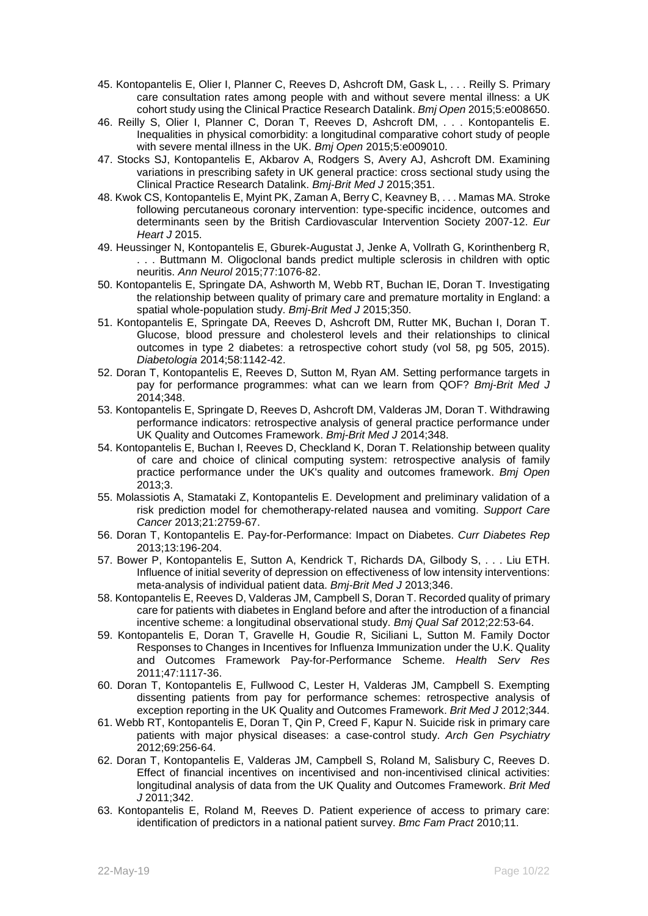- 45. Kontopantelis E, Olier I, Planner C, Reeves D, Ashcroft DM, Gask L, . . . Reilly S. Primary care consultation rates among people with and without severe mental illness: a UK cohort study using the Clinical Practice Research Datalink. *Bmj Open* 2015;5:e008650.
- 46. Reilly S, Olier I, Planner C, Doran T, Reeves D, Ashcroft DM, . . . Kontopantelis E. Inequalities in physical comorbidity: a longitudinal comparative cohort study of people with severe mental illness in the UK. *Bmj Open* 2015;5:e009010.
- 47. Stocks SJ, Kontopantelis E, Akbarov A, Rodgers S, Avery AJ, Ashcroft DM. Examining variations in prescribing safety in UK general practice: cross sectional study using the Clinical Practice Research Datalink. *Bmj-Brit Med J* 2015;351.
- 48. Kwok CS, Kontopantelis E, Myint PK, Zaman A, Berry C, Keavney B, . . . Mamas MA. Stroke following percutaneous coronary intervention: type-specific incidence, outcomes and determinants seen by the British Cardiovascular Intervention Society 2007-12. *Eur Heart J* 2015.
- 49. Heussinger N, Kontopantelis E, Gburek-Augustat J, Jenke A, Vollrath G, Korinthenberg R, . . . Buttmann M. Oligoclonal bands predict multiple sclerosis in children with optic neuritis. *Ann Neurol* 2015;77:1076-82.
- 50. Kontopantelis E, Springate DA, Ashworth M, Webb RT, Buchan IE, Doran T. Investigating the relationship between quality of primary care and premature mortality in England: a spatial whole-population study. *Bmj-Brit Med J* 2015;350.
- 51. Kontopantelis E, Springate DA, Reeves D, Ashcroft DM, Rutter MK, Buchan I, Doran T. Glucose, blood pressure and cholesterol levels and their relationships to clinical outcomes in type 2 diabetes: a retrospective cohort study (vol 58, pg 505, 2015). *Diabetologia* 2014;58:1142-42.
- 52. Doran T, Kontopantelis E, Reeves D, Sutton M, Ryan AM. Setting performance targets in pay for performance programmes: what can we learn from QOF? *Bmj-Brit Med J* 2014;348.
- 53. Kontopantelis E, Springate D, Reeves D, Ashcroft DM, Valderas JM, Doran T. Withdrawing performance indicators: retrospective analysis of general practice performance under UK Quality and Outcomes Framework. *Bmj-Brit Med J* 2014;348.
- 54. Kontopantelis E, Buchan I, Reeves D, Checkland K, Doran T. Relationship between quality of care and choice of clinical computing system: retrospective analysis of family practice performance under the UK's quality and outcomes framework. *Bmj Open* 2013;3.
- 55. Molassiotis A, Stamataki Z, Kontopantelis E. Development and preliminary validation of a risk prediction model for chemotherapy-related nausea and vomiting. *Support Care Cancer* 2013;21:2759-67.
- 56. Doran T, Kontopantelis E. Pay-for-Performance: Impact on Diabetes. *Curr Diabetes Rep* 2013;13:196-204.
- 57. Bower P, Kontopantelis E, Sutton A, Kendrick T, Richards DA, Gilbody S, . . . Liu ETH. Influence of initial severity of depression on effectiveness of low intensity interventions: meta-analysis of individual patient data. *Bmj-Brit Med J* 2013;346.
- 58. Kontopantelis E, Reeves D, Valderas JM, Campbell S, Doran T. Recorded quality of primary care for patients with diabetes in England before and after the introduction of a financial incentive scheme: a longitudinal observational study. *Bmj Qual Saf* 2012;22:53-64.
- 59. Kontopantelis E, Doran T, Gravelle H, Goudie R, Siciliani L, Sutton M. Family Doctor Responses to Changes in Incentives for Influenza Immunization under the U.K. Quality and Outcomes Framework Pay-for-Performance Scheme. *Health Serv Res* 2011;47:1117-36.
- 60. Doran T, Kontopantelis E, Fullwood C, Lester H, Valderas JM, Campbell S. Exempting dissenting patients from pay for performance schemes: retrospective analysis of exception reporting in the UK Quality and Outcomes Framework. *Brit Med J* 2012;344.
- 61. Webb RT, Kontopantelis E, Doran T, Qin P, Creed F, Kapur N. Suicide risk in primary care patients with major physical diseases: a case-control study. *Arch Gen Psychiatry* 2012;69:256-64.
- 62. Doran T, Kontopantelis E, Valderas JM, Campbell S, Roland M, Salisbury C, Reeves D. Effect of financial incentives on incentivised and non-incentivised clinical activities: longitudinal analysis of data from the UK Quality and Outcomes Framework. *Brit Med J* 2011;342.
- 63. Kontopantelis E, Roland M, Reeves D. Patient experience of access to primary care: identification of predictors in a national patient survey. *Bmc Fam Pract* 2010;11.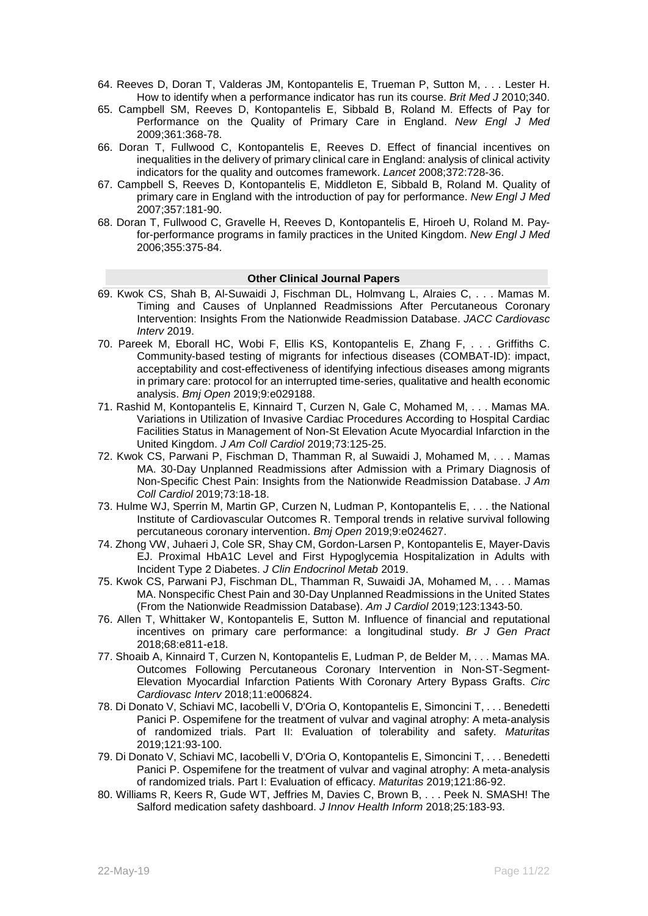- 64. Reeves D, Doran T, Valderas JM, Kontopantelis E, Trueman P, Sutton M, . . . Lester H. How to identify when a performance indicator has run its course. *Brit Med J* 2010;340.
- 65. Campbell SM, Reeves D, Kontopantelis E, Sibbald B, Roland M. Effects of Pay for Performance on the Quality of Primary Care in England. *New Engl J Med* 2009;361:368-78.
- 66. Doran T, Fullwood C, Kontopantelis E, Reeves D. Effect of financial incentives on inequalities in the delivery of primary clinical care in England: analysis of clinical activity indicators for the quality and outcomes framework. *Lancet* 2008;372:728-36.
- 67. Campbell S, Reeves D, Kontopantelis E, Middleton E, Sibbald B, Roland M. Quality of primary care in England with the introduction of pay for performance. *New Engl J Med* 2007;357:181-90.
- 68. Doran T, Fullwood C, Gravelle H, Reeves D, Kontopantelis E, Hiroeh U, Roland M. Payfor-performance programs in family practices in the United Kingdom. *New Engl J Med* 2006;355:375-84.

## **Other Clinical Journal Papers**

- 69. Kwok CS, Shah B, Al-Suwaidi J, Fischman DL, Holmvang L, Alraies C, . . . Mamas M. Timing and Causes of Unplanned Readmissions After Percutaneous Coronary Intervention: Insights From the Nationwide Readmission Database. *JACC Cardiovasc Interv* 2019.
- 70. Pareek M, Eborall HC, Wobi F, Ellis KS, Kontopantelis E, Zhang F, . . . Griffiths C. Community-based testing of migrants for infectious diseases (COMBAT-ID): impact, acceptability and cost-effectiveness of identifying infectious diseases among migrants in primary care: protocol for an interrupted time-series, qualitative and health economic analysis. *Bmj Open* 2019;9:e029188.
- 71. Rashid M, Kontopantelis E, Kinnaird T, Curzen N, Gale C, Mohamed M, . . . Mamas MA. Variations in Utilization of Invasive Cardiac Procedures According to Hospital Cardiac Facilities Status in Management of Non-St Elevation Acute Myocardial Infarction in the United Kingdom. *J Am Coll Cardiol* 2019;73:125-25.
- 72. Kwok CS, Parwani P, Fischman D, Thamman R, al Suwaidi J, Mohamed M, . . . Mamas MA. 30-Day Unplanned Readmissions after Admission with a Primary Diagnosis of Non-Specific Chest Pain: Insights from the Nationwide Readmission Database. *J Am Coll Cardiol* 2019;73:18-18.
- 73. Hulme WJ, Sperrin M, Martin GP, Curzen N, Ludman P, Kontopantelis E, . . . the National Institute of Cardiovascular Outcomes R. Temporal trends in relative survival following percutaneous coronary intervention. *Bmj Open* 2019;9:e024627.
- 74. Zhong VW, Juhaeri J, Cole SR, Shay CM, Gordon-Larsen P, Kontopantelis E, Mayer-Davis EJ. Proximal HbA1C Level and First Hypoglycemia Hospitalization in Adults with Incident Type 2 Diabetes. *J Clin Endocrinol Metab* 2019.
- 75. Kwok CS, Parwani PJ, Fischman DL, Thamman R, Suwaidi JA, Mohamed M, . . . Mamas MA. Nonspecific Chest Pain and 30-Day Unplanned Readmissions in the United States (From the Nationwide Readmission Database). *Am J Cardiol* 2019;123:1343-50.
- 76. Allen T, Whittaker W, Kontopantelis E, Sutton M. Influence of financial and reputational incentives on primary care performance: a longitudinal study. *Br J Gen Pract* 2018;68:e811-e18.
- 77. Shoaib A, Kinnaird T, Curzen N, Kontopantelis E, Ludman P, de Belder M, . . . Mamas MA. Outcomes Following Percutaneous Coronary Intervention in Non-ST-Segment-Elevation Myocardial Infarction Patients With Coronary Artery Bypass Grafts. *Circ Cardiovasc Interv* 2018;11:e006824.
- 78. Di Donato V, Schiavi MC, Iacobelli V, D'Oria O, Kontopantelis E, Simoncini T, . . . Benedetti Panici P. Ospemifene for the treatment of vulvar and vaginal atrophy: A meta-analysis of randomized trials. Part II: Evaluation of tolerability and safety. *Maturitas* 2019;121:93-100.
- 79. Di Donato V, Schiavi MC, Iacobelli V, D'Oria O, Kontopantelis E, Simoncini T, . . . Benedetti Panici P. Ospemifene for the treatment of vulvar and vaginal atrophy: A meta-analysis of randomized trials. Part I: Evaluation of efficacy. *Maturitas* 2019;121:86-92.
- 80. Williams R, Keers R, Gude WT, Jeffries M, Davies C, Brown B, . . . Peek N. SMASH! The Salford medication safety dashboard. *J Innov Health Inform* 2018;25:183-93.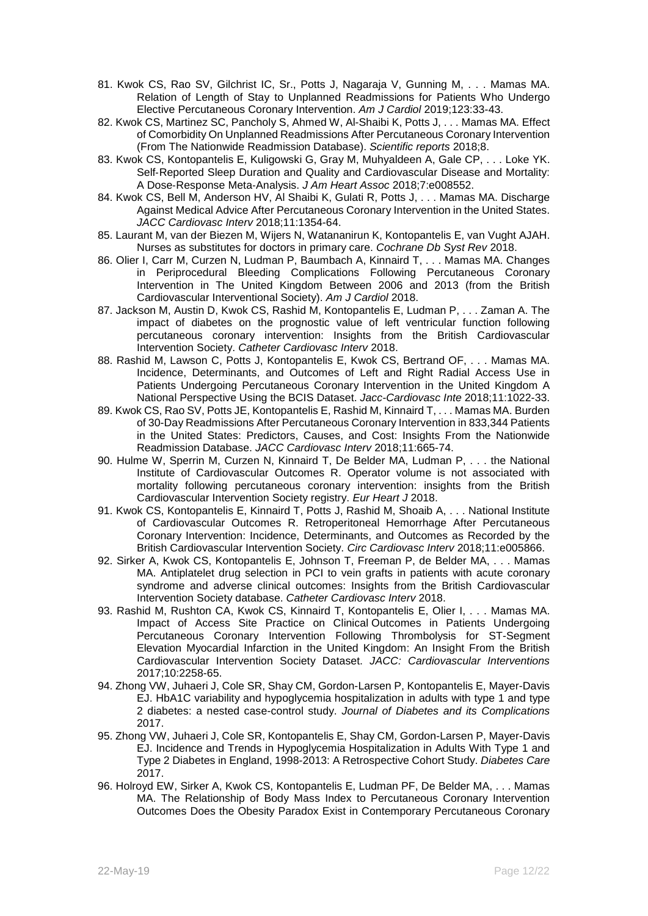- 81. Kwok CS, Rao SV, Gilchrist IC, Sr., Potts J, Nagaraja V, Gunning M, . . . Mamas MA. Relation of Length of Stay to Unplanned Readmissions for Patients Who Undergo Elective Percutaneous Coronary Intervention. *Am J Cardiol* 2019;123:33-43.
- 82. Kwok CS, Martinez SC, Pancholy S, Ahmed W, Al-Shaibi K, Potts J, . . . Mamas MA. Effect of Comorbidity On Unplanned Readmissions After Percutaneous Coronary Intervention (From The Nationwide Readmission Database). *Scientific reports* 2018;8.
- 83. Kwok CS, Kontopantelis E, Kuligowski G, Gray M, Muhyaldeen A, Gale CP, . . . Loke YK. Self-Reported Sleep Duration and Quality and Cardiovascular Disease and Mortality: A Dose‐Response Meta‐Analysis. *J Am Heart Assoc* 2018;7:e008552.
- 84. Kwok CS, Bell M, Anderson HV, Al Shaibi K, Gulati R, Potts J, . . . Mamas MA. Discharge Against Medical Advice After Percutaneous Coronary Intervention in the United States. *JACC Cardiovasc Interv* 2018;11:1354-64.
- 85. Laurant M, van der Biezen M, Wijers N, Watananirun K, Kontopantelis E, van Vught AJAH. Nurses as substitutes for doctors in primary care. *Cochrane Db Syst Rev* 2018.
- 86. Olier I, Carr M, Curzen N, Ludman P, Baumbach A, Kinnaird T, . . . Mamas MA. Changes in Periprocedural Bleeding Complications Following Percutaneous Coronary Intervention in The United Kingdom Between 2006 and 2013 (from the British Cardiovascular Interventional Society). *Am J Cardiol* 2018.
- 87. Jackson M, Austin D, Kwok CS, Rashid M, Kontopantelis E, Ludman P, . . . Zaman A. The impact of diabetes on the prognostic value of left ventricular function following percutaneous coronary intervention: Insights from the British Cardiovascular Intervention Society. *Catheter Cardiovasc Interv* 2018.
- 88. Rashid M, Lawson C, Potts J, Kontopantelis E, Kwok CS, Bertrand OF, . . . Mamas MA. Incidence, Determinants, and Outcomes of Left and Right Radial Access Use in Patients Undergoing Percutaneous Coronary Intervention in the United Kingdom A National Perspective Using the BCIS Dataset. *Jacc-Cardiovasc Inte* 2018;11:1022-33.
- 89. Kwok CS, Rao SV, Potts JE, Kontopantelis E, Rashid M, Kinnaird T, . . . Mamas MA. Burden of 30-Day Readmissions After Percutaneous Coronary Intervention in 833,344 Patients in the United States: Predictors, Causes, and Cost: Insights From the Nationwide Readmission Database. *JACC Cardiovasc Interv* 2018;11:665-74.
- 90. Hulme W, Sperrin M, Curzen N, Kinnaird T, De Belder MA, Ludman P, . . . the National Institute of Cardiovascular Outcomes R. Operator volume is not associated with mortality following percutaneous coronary intervention: insights from the British Cardiovascular Intervention Society registry. *Eur Heart J* 2018.
- 91. Kwok CS, Kontopantelis E, Kinnaird T, Potts J, Rashid M, Shoaib A, . . . National Institute of Cardiovascular Outcomes R. Retroperitoneal Hemorrhage After Percutaneous Coronary Intervention: Incidence, Determinants, and Outcomes as Recorded by the British Cardiovascular Intervention Society. *Circ Cardiovasc Interv* 2018;11:e005866.
- 92. Sirker A, Kwok CS, Kontopantelis E, Johnson T, Freeman P, de Belder MA, . . . Mamas MA. Antiplatelet drug selection in PCI to vein grafts in patients with acute coronary syndrome and adverse clinical outcomes: Insights from the British Cardiovascular Intervention Society database. *Catheter Cardiovasc Interv* 2018.
- 93. Rashid M, Rushton CA, Kwok CS, Kinnaird T, Kontopantelis E, Olier I, . . . Mamas MA. Impact of Access Site Practice on Clinical Outcomes in Patients Undergoing Percutaneous Coronary Intervention Following Thrombolysis for ST-Segment Elevation Myocardial Infarction in the United Kingdom: An Insight From the British Cardiovascular Intervention Society Dataset. *JACC: Cardiovascular Interventions* 2017;10:2258-65.
- 94. Zhong VW, Juhaeri J, Cole SR, Shay CM, Gordon-Larsen P, Kontopantelis E, Mayer-Davis EJ. HbA1C variability and hypoglycemia hospitalization in adults with type 1 and type 2 diabetes: a nested case-control study. *Journal of Diabetes and its Complications* 2017.
- 95. Zhong VW, Juhaeri J, Cole SR, Kontopantelis E, Shay CM, Gordon-Larsen P, Mayer-Davis EJ. Incidence and Trends in Hypoglycemia Hospitalization in Adults With Type 1 and Type 2 Diabetes in England, 1998-2013: A Retrospective Cohort Study. *Diabetes Care* 2017.
- 96. Holroyd EW, Sirker A, Kwok CS, Kontopantelis E, Ludman PF, De Belder MA, . . . Mamas MA. The Relationship of Body Mass Index to Percutaneous Coronary Intervention Outcomes Does the Obesity Paradox Exist in Contemporary Percutaneous Coronary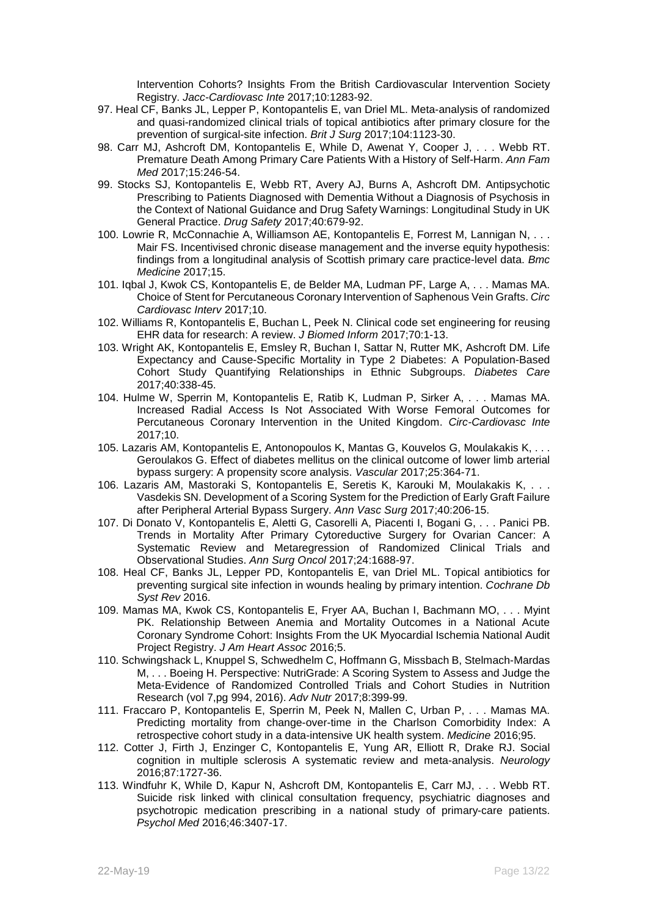Intervention Cohorts? Insights From the British Cardiovascular Intervention Society Registry. *Jacc-Cardiovasc Inte* 2017;10:1283-92.

- 97. Heal CF, Banks JL, Lepper P, Kontopantelis E, van Driel ML. Meta-analysis of randomized and quasi-randomized clinical trials of topical antibiotics after primary closure for the prevention of surgical-site infection. *Brit J Surg* 2017;104:1123-30.
- 98. Carr MJ, Ashcroft DM, Kontopantelis E, While D, Awenat Y, Cooper J, . . . Webb RT. Premature Death Among Primary Care Patients With a History of Self-Harm. *Ann Fam Med* 2017;15:246-54.
- 99. Stocks SJ, Kontopantelis E, Webb RT, Avery AJ, Burns A, Ashcroft DM. Antipsychotic Prescribing to Patients Diagnosed with Dementia Without a Diagnosis of Psychosis in the Context of National Guidance and Drug Safety Warnings: Longitudinal Study in UK General Practice. *Drug Safety* 2017;40:679-92.
- 100. Lowrie R, McConnachie A, Williamson AE, Kontopantelis E, Forrest M, Lannigan N, . . . Mair FS. Incentivised chronic disease management and the inverse equity hypothesis: findings from a longitudinal analysis of Scottish primary care practice-level data. *Bmc Medicine* 2017;15.
- 101. Iqbal J, Kwok CS, Kontopantelis E, de Belder MA, Ludman PF, Large A, . . . Mamas MA. Choice of Stent for Percutaneous Coronary Intervention of Saphenous Vein Grafts. *Circ Cardiovasc Interv* 2017;10.
- 102. Williams R, Kontopantelis E, Buchan L, Peek N. Clinical code set engineering for reusing EHR data for research: A review. *J Biomed Inform* 2017;70:1-13.
- 103. Wright AK, Kontopantelis E, Emsley R, Buchan I, Sattar N, Rutter MK, Ashcroft DM. Life Expectancy and Cause-Specific Mortality in Type 2 Diabetes: A Population-Based Cohort Study Quantifying Relationships in Ethnic Subgroups. *Diabetes Care* 2017;40:338-45.
- 104. Hulme W, Sperrin M, Kontopantelis E, Ratib K, Ludman P, Sirker A, . . . Mamas MA. Increased Radial Access Is Not Associated With Worse Femoral Outcomes for Percutaneous Coronary Intervention in the United Kingdom. *Circ-Cardiovasc Inte* 2017;10.
- 105. Lazaris AM, Kontopantelis E, Antonopoulos K, Mantas G, Kouvelos G, Moulakakis K, . . . Geroulakos G. Effect of diabetes mellitus on the clinical outcome of lower limb arterial bypass surgery: A propensity score analysis. *Vascular* 2017;25:364-71.
- 106. Lazaris AM, Mastoraki S, Kontopantelis E, Seretis K, Karouki M, Moulakakis K, . . . Vasdekis SN. Development of a Scoring System for the Prediction of Early Graft Failure after Peripheral Arterial Bypass Surgery. *Ann Vasc Surg* 2017;40:206-15.
- 107. Di Donato V, Kontopantelis E, Aletti G, Casorelli A, Piacenti I, Bogani G, . . . Panici PB. Trends in Mortality After Primary Cytoreductive Surgery for Ovarian Cancer: A Systematic Review and Metaregression of Randomized Clinical Trials and Observational Studies. *Ann Surg Oncol* 2017;24:1688-97.
- 108. Heal CF, Banks JL, Lepper PD, Kontopantelis E, van Driel ML. Topical antibiotics for preventing surgical site infection in wounds healing by primary intention. *Cochrane Db Syst Rev* 2016.
- 109. Mamas MA, Kwok CS, Kontopantelis E, Fryer AA, Buchan I, Bachmann MO, . . . Myint PK. Relationship Between Anemia and Mortality Outcomes in a National Acute Coronary Syndrome Cohort: Insights From the UK Myocardial Ischemia National Audit Project Registry. *J Am Heart Assoc* 2016;5.
- 110. Schwingshack L, Knuppel S, Schwedhelm C, Hoffmann G, Missbach B, Stelmach-Mardas M, . . . Boeing H. Perspective: NutriGrade: A Scoring System to Assess and Judge the Meta-Evidence of Randomized Controlled Trials and Cohort Studies in Nutrition Research (vol 7,pg 994, 2016). *Adv Nutr* 2017;8:399-99.
- 111. Fraccaro P, Kontopantelis E, Sperrin M, Peek N, Mallen C, Urban P, . . . Mamas MA. Predicting mortality from change-over-time in the Charlson Comorbidity Index: A retrospective cohort study in a data-intensive UK health system. *Medicine* 2016;95.
- 112. Cotter J, Firth J, Enzinger C, Kontopantelis E, Yung AR, Elliott R, Drake RJ. Social cognition in multiple sclerosis A systematic review and meta-analysis. *Neurology* 2016;87:1727-36.
- 113. Windfuhr K, While D, Kapur N, Ashcroft DM, Kontopantelis E, Carr MJ, . . . Webb RT. Suicide risk linked with clinical consultation frequency, psychiatric diagnoses and psychotropic medication prescribing in a national study of primary-care patients. *Psychol Med* 2016;46:3407-17.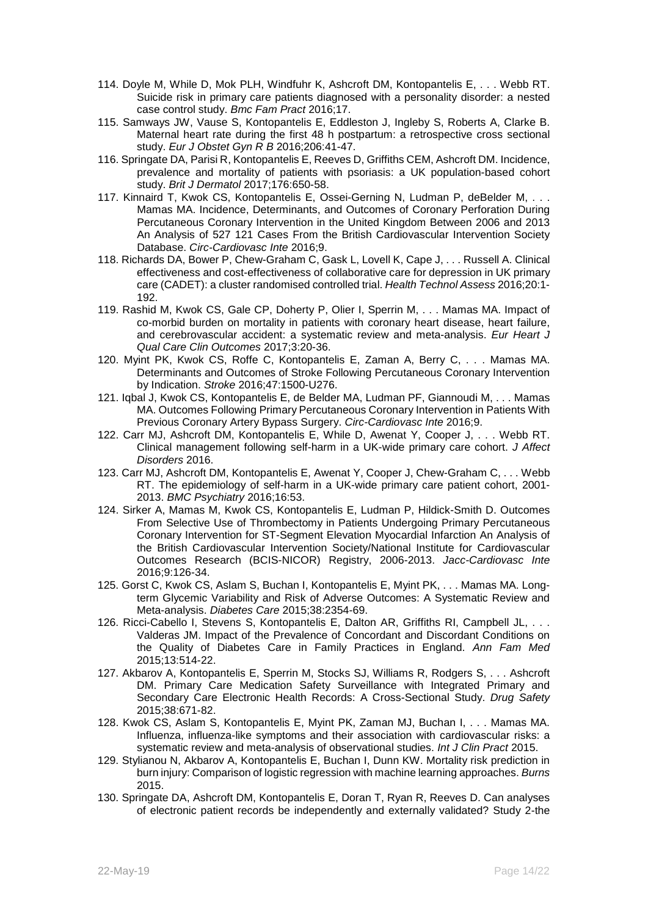- 114. Doyle M, While D, Mok PLH, Windfuhr K, Ashcroft DM, Kontopantelis E, . . . Webb RT. Suicide risk in primary care patients diagnosed with a personality disorder: a nested case control study. *Bmc Fam Pract* 2016;17.
- 115. Samways JW, Vause S, Kontopantelis E, Eddleston J, Ingleby S, Roberts A, Clarke B. Maternal heart rate during the first 48 h postpartum: a retrospective cross sectional study. *Eur J Obstet Gyn R B* 2016;206:41-47.
- 116. Springate DA, Parisi R, Kontopantelis E, Reeves D, Griffiths CEM, Ashcroft DM. Incidence, prevalence and mortality of patients with psoriasis: a UK population-based cohort study. *Brit J Dermatol* 2017;176:650-58.
- 117. Kinnaird T, Kwok CS, Kontopantelis E, Ossei-Gerning N, Ludman P, deBelder M, . . . Mamas MA. Incidence, Determinants, and Outcomes of Coronary Perforation During Percutaneous Coronary Intervention in the United Kingdom Between 2006 and 2013 An Analysis of 527 121 Cases From the British Cardiovascular Intervention Society Database. *Circ-Cardiovasc Inte* 2016;9.
- 118. Richards DA, Bower P, Chew-Graham C, Gask L, Lovell K, Cape J, . . . Russell A. Clinical effectiveness and cost-effectiveness of collaborative care for depression in UK primary care (CADET): a cluster randomised controlled trial. *Health Technol Assess* 2016;20:1- 192.
- 119. Rashid M, Kwok CS, Gale CP, Doherty P, Olier I, Sperrin M, . . . Mamas MA. Impact of co-morbid burden on mortality in patients with coronary heart disease, heart failure, and cerebrovascular accident: a systematic review and meta-analysis. *Eur Heart J Qual Care Clin Outcomes* 2017;3:20-36.
- 120. Myint PK, Kwok CS, Roffe C, Kontopantelis E, Zaman A, Berry C, . . . Mamas MA. Determinants and Outcomes of Stroke Following Percutaneous Coronary Intervention by Indication. *Stroke* 2016;47:1500-U276.
- 121. Iqbal J, Kwok CS, Kontopantelis E, de Belder MA, Ludman PF, Giannoudi M, . . . Mamas MA. Outcomes Following Primary Percutaneous Coronary Intervention in Patients With Previous Coronary Artery Bypass Surgery. *Circ-Cardiovasc Inte* 2016;9.
- 122. Carr MJ, Ashcroft DM, Kontopantelis E, While D, Awenat Y, Cooper J, . . . Webb RT. Clinical management following self-harm in a UK-wide primary care cohort. *J Affect Disorders* 2016.
- 123. Carr MJ, Ashcroft DM, Kontopantelis E, Awenat Y, Cooper J, Chew-Graham C, . . . Webb RT. The epidemiology of self-harm in a UK-wide primary care patient cohort, 2001- 2013. *BMC Psychiatry* 2016;16:53.
- 124. Sirker A, Mamas M, Kwok CS, Kontopantelis E, Ludman P, Hildick-Smith D. Outcomes From Selective Use of Thrombectomy in Patients Undergoing Primary Percutaneous Coronary Intervention for ST-Segment Elevation Myocardial Infarction An Analysis of the British Cardiovascular Intervention Society/National Institute for Cardiovascular Outcomes Research (BCIS-NICOR) Registry, 2006-2013. *Jacc-Cardiovasc Inte* 2016;9:126-34.
- 125. Gorst C, Kwok CS, Aslam S, Buchan I, Kontopantelis E, Myint PK, . . . Mamas MA. Longterm Glycemic Variability and Risk of Adverse Outcomes: A Systematic Review and Meta-analysis. *Diabetes Care* 2015;38:2354-69.
- 126. Ricci-Cabello I, Stevens S, Kontopantelis E, Dalton AR, Griffiths RI, Campbell JL, . . . Valderas JM. Impact of the Prevalence of Concordant and Discordant Conditions on the Quality of Diabetes Care in Family Practices in England. *Ann Fam Med* 2015;13:514-22.
- 127. Akbarov A, Kontopantelis E, Sperrin M, Stocks SJ, Williams R, Rodgers S, . . . Ashcroft DM. Primary Care Medication Safety Surveillance with Integrated Primary and Secondary Care Electronic Health Records: A Cross-Sectional Study. *Drug Safety* 2015;38:671-82.
- 128. Kwok CS, Aslam S, Kontopantelis E, Myint PK, Zaman MJ, Buchan I, . . . Mamas MA. Influenza, influenza-like symptoms and their association with cardiovascular risks: a systematic review and meta-analysis of observational studies. *Int J Clin Pract* 2015.
- 129. Stylianou N, Akbarov A, Kontopantelis E, Buchan I, Dunn KW. Mortality risk prediction in burn injury: Comparison of logistic regression with machine learning approaches. *Burns* 2015.
- 130. Springate DA, Ashcroft DM, Kontopantelis E, Doran T, Ryan R, Reeves D. Can analyses of electronic patient records be independently and externally validated? Study 2-the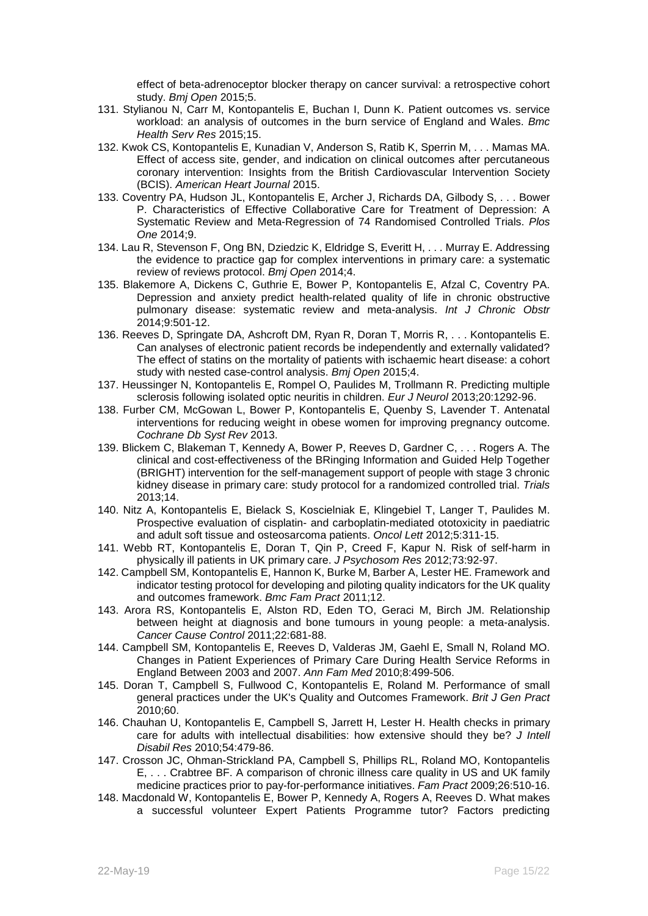effect of beta-adrenoceptor blocker therapy on cancer survival: a retrospective cohort study. *Bmj Open* 2015;5.

- 131. Stylianou N, Carr M, Kontopantelis E, Buchan I, Dunn K. Patient outcomes vs. service workload: an analysis of outcomes in the burn service of England and Wales. *Bmc Health Serv Res* 2015;15.
- 132. Kwok CS, Kontopantelis E, Kunadian V, Anderson S, Ratib K, Sperrin M, . . . Mamas MA. Effect of access site, gender, and indication on clinical outcomes after percutaneous coronary intervention: Insights from the British Cardiovascular Intervention Society (BCIS). *American Heart Journal* 2015.
- 133. Coventry PA, Hudson JL, Kontopantelis E, Archer J, Richards DA, Gilbody S, . . . Bower P. Characteristics of Effective Collaborative Care for Treatment of Depression: A Systematic Review and Meta-Regression of 74 Randomised Controlled Trials. *Plos One* 2014;9.
- 134. Lau R, Stevenson F, Ong BN, Dziedzic K, Eldridge S, Everitt H, . . . Murray E. Addressing the evidence to practice gap for complex interventions in primary care: a systematic review of reviews protocol. *Bmj Open* 2014;4.
- 135. Blakemore A, Dickens C, Guthrie E, Bower P, Kontopantelis E, Afzal C, Coventry PA. Depression and anxiety predict health-related quality of life in chronic obstructive pulmonary disease: systematic review and meta-analysis. *Int J Chronic Obstr* 2014;9:501-12.
- 136. Reeves D, Springate DA, Ashcroft DM, Ryan R, Doran T, Morris R, . . . Kontopantelis E. Can analyses of electronic patient records be independently and externally validated? The effect of statins on the mortality of patients with ischaemic heart disease: a cohort study with nested case-control analysis. *Bmj Open* 2015;4.
- 137. Heussinger N, Kontopantelis E, Rompel O, Paulides M, Trollmann R. Predicting multiple sclerosis following isolated optic neuritis in children. *Eur J Neurol* 2013;20:1292-96.
- 138. Furber CM, McGowan L, Bower P, Kontopantelis E, Quenby S, Lavender T. Antenatal interventions for reducing weight in obese women for improving pregnancy outcome. *Cochrane Db Syst Rev* 2013.
- 139. Blickem C, Blakeman T, Kennedy A, Bower P, Reeves D, Gardner C, . . . Rogers A. The clinical and cost-effectiveness of the BRinging Information and Guided Help Together (BRIGHT) intervention for the self-management support of people with stage 3 chronic kidney disease in primary care: study protocol for a randomized controlled trial. *Trials* 2013;14.
- 140. Nitz A, Kontopantelis E, Bielack S, Koscielniak E, Klingebiel T, Langer T, Paulides M. Prospective evaluation of cisplatin- and carboplatin-mediated ototoxicity in paediatric and adult soft tissue and osteosarcoma patients. *Oncol Lett* 2012;5:311-15.
- 141. Webb RT, Kontopantelis E, Doran T, Qin P, Creed F, Kapur N. Risk of self-harm in physically ill patients in UK primary care. *J Psychosom Res* 2012;73:92-97.
- 142. Campbell SM, Kontopantelis E, Hannon K, Burke M, Barber A, Lester HE. Framework and indicator testing protocol for developing and piloting quality indicators for the UK quality and outcomes framework. *Bmc Fam Pract* 2011;12.
- 143. Arora RS, Kontopantelis E, Alston RD, Eden TO, Geraci M, Birch JM. Relationship between height at diagnosis and bone tumours in young people: a meta-analysis. *Cancer Cause Control* 2011;22:681-88.
- 144. Campbell SM, Kontopantelis E, Reeves D, Valderas JM, Gaehl E, Small N, Roland MO. Changes in Patient Experiences of Primary Care During Health Service Reforms in England Between 2003 and 2007. *Ann Fam Med* 2010;8:499-506.
- 145. Doran T, Campbell S, Fullwood C, Kontopantelis E, Roland M. Performance of small general practices under the UK's Quality and Outcomes Framework. *Brit J Gen Pract* 2010;60.
- 146. Chauhan U, Kontopantelis E, Campbell S, Jarrett H, Lester H. Health checks in primary care for adults with intellectual disabilities: how extensive should they be? *J Intell Disabil Res* 2010;54:479-86.
- 147. Crosson JC, Ohman-Strickland PA, Campbell S, Phillips RL, Roland MO, Kontopantelis E, . . . Crabtree BF. A comparison of chronic illness care quality in US and UK family medicine practices prior to pay-for-performance initiatives. *Fam Pract* 2009;26:510-16.
- 148. Macdonald W, Kontopantelis E, Bower P, Kennedy A, Rogers A, Reeves D. What makes a successful volunteer Expert Patients Programme tutor? Factors predicting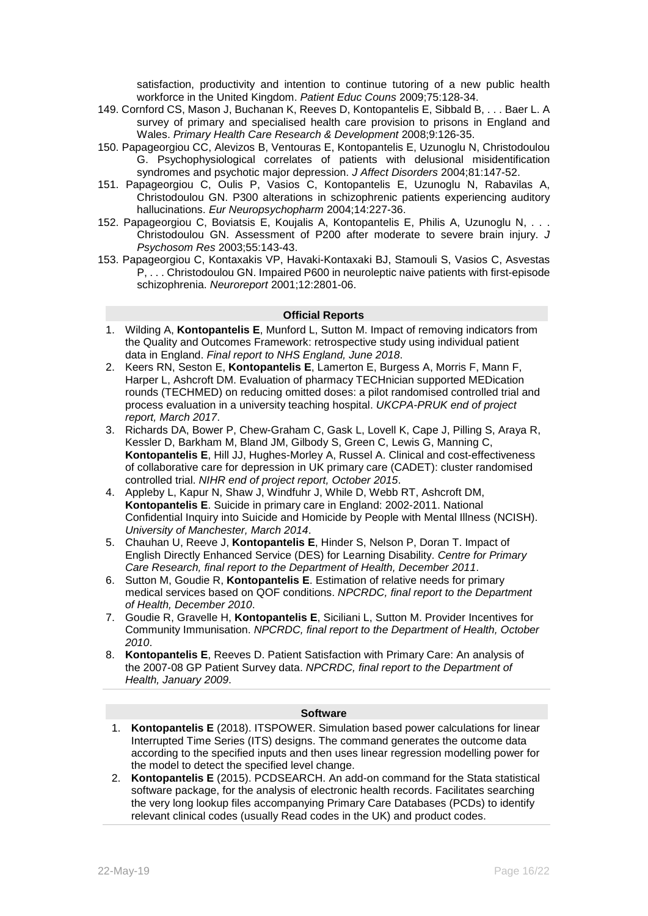satisfaction, productivity and intention to continue tutoring of a new public health workforce in the United Kingdom. *Patient Educ Couns* 2009;75:128-34.

- 149. Cornford CS, Mason J, Buchanan K, Reeves D, Kontopantelis E, Sibbald B, . . . Baer L. A survey of primary and specialised health care provision to prisons in England and Wales. *Primary Health Care Research & Development* 2008;9:126-35.
- 150. Papageorgiou CC, Alevizos B, Ventouras E, Kontopantelis E, Uzunoglu N, Christodoulou G. Psychophysiological correlates of patients with delusional misidentification syndromes and psychotic major depression. *J Affect Disorders* 2004;81:147-52.
- 151. Papageorgiou C, Oulis P, Vasios C, Kontopantelis E, Uzunoglu N, Rabavilas A, Christodoulou GN. P300 alterations in schizophrenic patients experiencing auditory hallucinations. *Eur Neuropsychopharm* 2004;14:227-36.
- 152. Papageorgiou C, Boviatsis E, Koujalis A, Kontopantelis E, Philis A, Uzunoglu N, . . . Christodoulou GN. Assessment of P200 after moderate to severe brain injury. *J Psychosom Res* 2003;55:143-43.
- 153. Papageorgiou C, Kontaxakis VP, Havaki-Kontaxaki BJ, Stamouli S, Vasios C, Asvestas P, . . . Christodoulou GN. Impaired P600 in neuroleptic naive patients with first-episode schizophrenia. *Neuroreport* 2001;12:2801-06.

#### **Official Reports**

- 1. Wilding A, **Kontopantelis E**, Munford L, Sutton M. Impact of removing indicators from the Quality and Outcomes Framework: retrospective study using individual patient data in England. *Final report to NHS England, June 2018*.
- 2. Keers RN, Seston E, **Kontopantelis E**, Lamerton E, Burgess A, Morris F, Mann F, Harper L, Ashcroft DM. Evaluation of pharmacy TECHnician supported MEDication rounds (TECHMED) on reducing omitted doses: a pilot randomised controlled trial and process evaluation in a university teaching hospital. *UKCPA-PRUK end of project report, March 2017*.
- 3. Richards DA, Bower P, Chew-Graham C, Gask L, Lovell K, Cape J, Pilling S, Araya R, Kessler D, Barkham M, Bland JM, Gilbody S, Green C, Lewis G, Manning C, **Kontopantelis E**, Hill JJ, Hughes-Morley A, Russel A. Clinical and cost-effectiveness of collaborative care for depression in UK primary care (CADET): cluster randomised controlled trial. *NIHR end of project report, October 2015*.
- 4. Appleby L, Kapur N, Shaw J, Windfuhr J, While D, Webb RT, Ashcroft DM, **Kontopantelis E**. Suicide in primary care in England: 2002-2011. National Confidential Inquiry into Suicide and Homicide by People with Mental Illness (NCISH). *University of Manchester, March 2014*.
- 5. Chauhan U, Reeve J, **Kontopantelis E**, Hinder S, Nelson P, Doran T. Impact of English Directly Enhanced Service (DES) for Learning Disability. *Centre for Primary Care Research, final report to the Department of Health, December 2011*.
- 6. Sutton M, Goudie R, **Kontopantelis E**. Estimation of relative needs for primary medical services based on QOF conditions. *NPCRDC, final report to the Department of Health, December 2010*.
- 7. Goudie R, Gravelle H, **Kontopantelis E**, Siciliani L, Sutton M. Provider Incentives for Community Immunisation. *NPCRDC, final report to the Department of Health, October 2010*.
- 8. **Kontopantelis E**, Reeves D. Patient Satisfaction with Primary Care: An analysis of the 2007-08 GP Patient Survey data. *NPCRDC, final report to the Department of Health, January 2009*.

#### **Software**

- 1. **Kontopantelis E** (2018). ITSPOWER. Simulation based power calculations for linear Interrupted Time Series (ITS) designs. The command generates the outcome data according to the specified inputs and then uses linear regression modelling power for the model to detect the specified level change.
- 2. **Kontopantelis E** (2015). PCDSEARCH. An add-on command for the Stata statistical software package, for the analysis of electronic health records. Facilitates searching the very long lookup files accompanying Primary Care Databases (PCDs) to identify relevant clinical codes (usually Read codes in the UK) and product codes.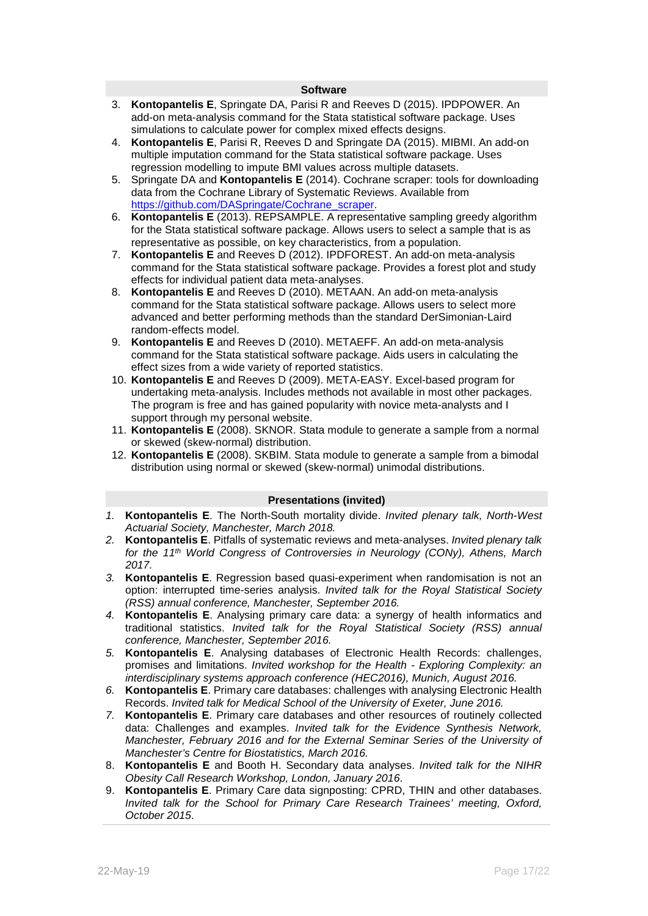#### **Software**

- 3. **Kontopantelis E**, Springate DA, Parisi R and Reeves D (2015). IPDPOWER. An add-on meta-analysis command for the Stata statistical software package. Uses simulations to calculate power for complex mixed effects designs.
- 4. **Kontopantelis E**, Parisi R, Reeves D and Springate DA (2015). MIBMI. An add-on multiple imputation command for the Stata statistical software package. Uses regression modelling to impute BMI values across multiple datasets.
- 5. Springate DA and **Kontopantelis E** (2014). Cochrane scraper: tools for downloading data from the Cochrane Library of Systematic Reviews. Available from https://aithub.com/DASpringate/Cochrane\_scraper.
- 6. **Kontopantelis E** (2013). REPSAMPLE. A representative sampling greedy algorithm for the Stata statistical software package. Allows users to select a sample that is as representative as possible, on key characteristics, from a population.
- 7. **Kontopantelis E** and Reeves D (2012). IPDFOREST. An add-on meta-analysis command for the Stata statistical software package. Provides a forest plot and study effects for individual patient data meta-analyses.
- 8. **Kontopantelis E** and Reeves D (2010). METAAN. An add-on meta-analysis command for the Stata statistical software package. Allows users to select more advanced and better performing methods than the standard DerSimonian-Laird random-effects model.
- 9. **Kontopantelis E** and Reeves D (2010). METAEFF. An add-on meta-analysis command for the Stata statistical software package. Aids users in calculating the effect sizes from a wide variety of reported statistics.
- 10. **Kontopantelis E** and Reeves D (2009). META-EASY. Excel-based program for undertaking meta-analysis. Includes methods not available in most other packages. The program is free and has gained popularity with novice meta-analysts and I support through my personal website.
- 11. **Kontopantelis E** (2008). SKNOR. Stata module to generate a sample from a normal or skewed (skew-normal) distribution.
- 12. **Kontopantelis E** (2008). SKBIM. Stata module to generate a sample from a bimodal distribution using normal or skewed (skew-normal) unimodal distributions.

#### **Presentations (invited)**

- *1.* **Kontopantelis E**. The North-South mortality divide. *Invited plenary talk, North-West Actuarial Society, Manchester, March 2018.*
- *2.* **Kontopantelis E**. Pitfalls of systematic reviews and meta-analyses. *Invited plenary talk for the 11th World Congress of Controversies in Neurology (CONy), Athens, March 2017.*
- *3.* **Kontopantelis E**. Regression based quasi-experiment when randomisation is not an option: interrupted time-series analysis. *Invited talk for the Royal Statistical Society (RSS) annual conference, Manchester, September 2016.*
- *4.* **Kontopantelis E**. Analysing primary care data: a synergy of health informatics and traditional statistics. *Invited talk for the Royal Statistical Society (RSS) annual conference, Manchester, September 2016.*
- *5.* **Kontopantelis E**. Analysing databases of Electronic Health Records: challenges, promises and limitations. *Invited workshop for the Health - Exploring Complexity: an interdisciplinary systems approach conference (HEC2016), Munich, August 2016.*
- *6.* **Kontopantelis E**. Primary care databases: challenges with analysing Electronic Health Records. *Invited talk for Medical School of the University of Exeter, June 2016.*
- *7.* **Kontopantelis E**. Primary care databases and other resources of routinely collected data: Challenges and examples. *Invited talk for the Evidence Synthesis Network, Manchester, February 2016 and for the External Seminar Series of the University of Manchester's Centre for Biostatistics, March 2016.*
- 8. **Kontopantelis E** and Booth H. Secondary data analyses. *Invited talk for the NIHR Obesity Call Research Workshop, London, January 2016*.
- 9. **Kontopantelis E**. Primary Care data signposting: CPRD, THIN and other databases. *Invited talk for the School for Primary Care Research Trainees' meeting, Oxford, October 2015*.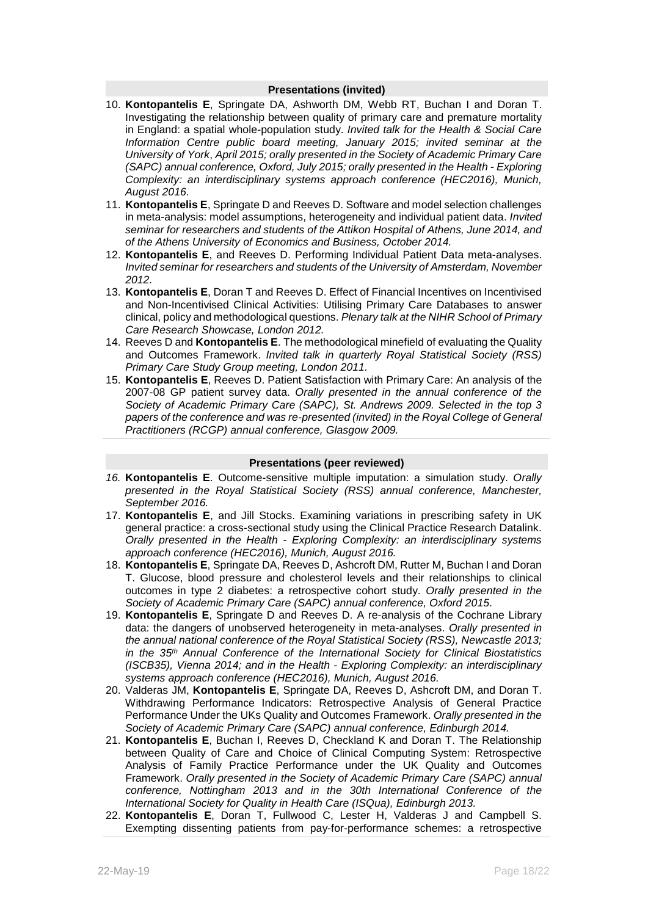#### **Presentations (invited)**

- 10. **Kontopantelis E**, Springate DA, Ashworth DM, Webb RT, Buchan I and Doran T. Investigating the relationship between quality of primary care and premature mortality in England: a spatial whole-population study. *Invited talk for the Health & Social Care Information Centre public board meeting, January 2015; invited seminar at the University of York*, *April 2015; orally presented in the Society of Academic Primary Care (SAPC) annual conference, Oxford, July 2015; orally presented in the Health - Exploring Complexity: an interdisciplinary systems approach conference (HEC2016), Munich, August 2016.*
- 11. **Kontopantelis E**, Springate D and Reeves D. Software and model selection challenges in meta-analysis: model assumptions, heterogeneity and individual patient data. *Invited seminar for researchers and students of the Attikon Hospital of Athens, June 2014, and of the Athens University of Economics and Business, October 2014.*
- 12. **Kontopantelis E**, and Reeves D. Performing Individual Patient Data meta-analyses. *Invited seminar for researchers and students of the University of Amsterdam, November 2012.*
- 13. **Kontopantelis E**, Doran T and Reeves D. Effect of Financial Incentives on Incentivised and Non-Incentivised Clinical Activities: Utilising Primary Care Databases to answer clinical, policy and methodological questions. *Plenary talk at the NIHR School of Primary Care Research Showcase, London 2012.*
- 14. Reeves D and **Kontopantelis E**. The methodological minefield of evaluating the Quality and Outcomes Framework. *Invited talk in quarterly Royal Statistical Society (RSS) Primary Care Study Group meeting, London 2011.*
- 15. **Kontopantelis E**, Reeves D. Patient Satisfaction with Primary Care: An analysis of the 2007-08 GP patient survey data. *Orally presented in the annual conference of the Society of Academic Primary Care (SAPC), St. Andrews 2009. Selected in the top 3 papers of the conference and was re-presented (invited) in the Royal College of General Practitioners (RCGP) annual conference, Glasgow 2009.*

#### **Presentations (peer reviewed)**

- *16.* **Kontopantelis E**. Outcome-sensitive multiple imputation: a simulation study. *Orally presented in the Royal Statistical Society (RSS) annual conference, Manchester, September 2016.*
- 17. **Kontopantelis E**, and Jill Stocks. Examining variations in prescribing safety in UK general practice: a cross-sectional study using the Clinical Practice Research Datalink. *Orally presented in the Health - Exploring Complexity: an interdisciplinary systems approach conference (HEC2016), Munich, August 2016.*
- 18. **Kontopantelis E**, Springate DA, Reeves D, Ashcroft DM, Rutter M, Buchan I and Doran T. Glucose, blood pressure and cholesterol levels and their relationships to clinical outcomes in type 2 diabetes: a retrospective cohort study. *Orally presented in the Society of Academic Primary Care (SAPC) annual conference, Oxford 2015*.
- 19. **Kontopantelis E**, Springate D and Reeves D. A re-analysis of the Cochrane Library data: the dangers of unobserved heterogeneity in meta-analyses. *Orally presented in the annual national conference of the Royal Statistical Society (RSS), Newcastle 2013; in the 35th Annual Conference of the International Society for Clinical Biostatistics (ISCB35), Vienna 2014; and in the Health - Exploring Complexity: an interdisciplinary systems approach conference (HEC2016), Munich, August 2016.*
- 20. Valderas JM, **Kontopantelis E**, Springate DA, Reeves D, Ashcroft DM, and Doran T. Withdrawing Performance Indicators: Retrospective Analysis of General Practice Performance Under the UKs Quality and Outcomes Framework. *Orally presented in the Society of Academic Primary Care (SAPC) annual conference, Edinburgh 2014.*
- 21. **Kontopantelis E**, Buchan I, Reeves D, Checkland K and Doran T. The Relationship between Quality of Care and Choice of Clinical Computing System: Retrospective Analysis of Family Practice Performance under the UK Quality and Outcomes Framework. *Orally presented in the Society of Academic Primary Care (SAPC) annual conference, Nottingham 2013 and in the 30th International Conference of the International Society for Quality in Health Care (ISQua), Edinburgh 2013.*
- 22. **Kontopantelis E**, Doran T, Fullwood C, Lester H, Valderas J and Campbell S. Exempting dissenting patients from pay-for-performance schemes: a retrospective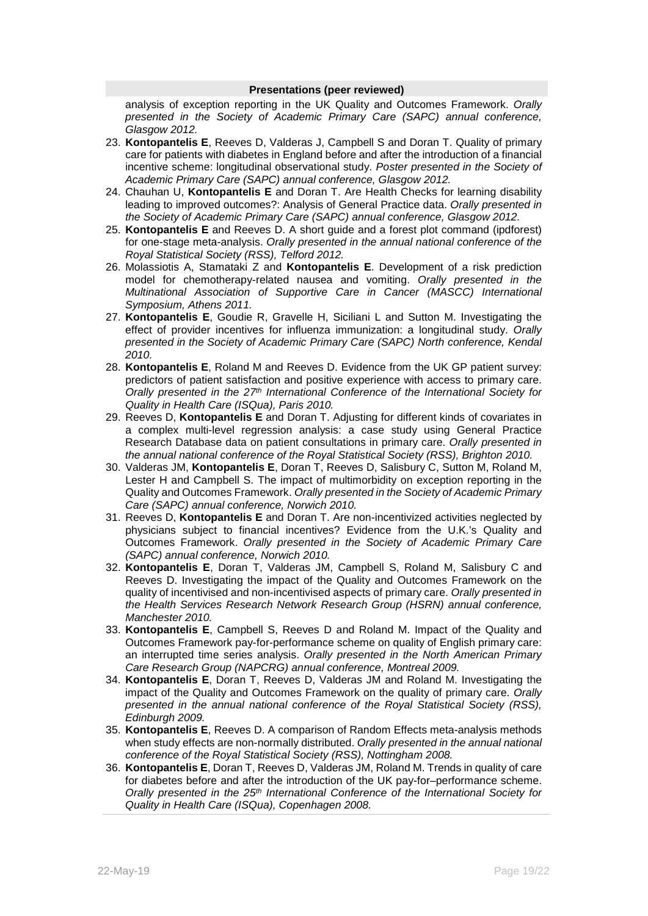#### **Presentations (peer reviewed)**

analysis of exception reporting in the UK Quality and Outcomes Framework. *Orally presented in the Society of Academic Primary Care (SAPC) annual conference, Glasgow 2012.*

- 23. **Kontopantelis E**, Reeves D, Valderas J, Campbell S and Doran T. Quality of primary care for patients with diabetes in England before and after the introduction of a financial incentive scheme: longitudinal observational study. *Poster presented in the Society of Academic Primary Care (SAPC) annual conference, Glasgow 2012.*
- 24. Chauhan U, **Kontopantelis E** and Doran T. Are Health Checks for learning disability leading to improved outcomes?: Analysis of General Practice data. *Orally presented in the Society of Academic Primary Care (SAPC) annual conference, Glasgow 2012.*
- 25. **Kontopantelis E** and Reeves D. A short guide and a forest plot command (ipdforest) for one-stage meta-analysis. *Orally presented in the annual national conference of the Royal Statistical Society (RSS), Telford 2012.*
- 26. Molassiotis A, Stamataki Z and **Kontopantelis E**. Development of a risk prediction model for chemotherapy-related nausea and vomiting. *Orally presented in the Multinational Association of Supportive Care in Cancer (MASCC) International Symposium, Athens 2011.*
- 27. **Kontopantelis E**, Goudie R, Gravelle H, Siciliani L and Sutton M. Investigating the effect of provider incentives for influenza immunization: a longitudinal study. *Orally presented in the Society of Academic Primary Care (SAPC) North conference, Kendal 2010.*
- 28. **Kontopantelis E**, Roland M and Reeves D. Evidence from the UK GP patient survey: predictors of patient satisfaction and positive experience with access to primary care. *Orally presented in the 27th International Conference of the International Society for Quality in Health Care (ISQua), Paris 2010.*
- 29. Reeves D, **Kontopantelis E** and Doran T. Adjusting for different kinds of covariates in a complex multi-level regression analysis: a case study using General Practice Research Database data on patient consultations in primary care. *Orally presented in the annual national conference of the Royal Statistical Society (RSS), Brighton 2010.*
- 30. Valderas JM, **Kontopantelis E**, Doran T, Reeves D, Salisbury C, Sutton M, Roland M, Lester H and Campbell S. The impact of multimorbidity on exception reporting in the Quality and Outcomes Framework. *Orally presented in the Society of Academic Primary Care (SAPC) annual conference, Norwich 2010.*
- 31. Reeves D, **Kontopantelis E** and Doran T. Are non-incentivized activities neglected by physicians subject to financial incentives? Evidence from the U.K.'s Quality and Outcomes Framework. *Orally presented in the Society of Academic Primary Care (SAPC) annual conference, Norwich 2010.*
- 32. **Kontopantelis E**, Doran T, Valderas JM, Campbell S, Roland M, Salisbury C and Reeves D. Investigating the impact of the Quality and Outcomes Framework on the quality of incentivised and non-incentivised aspects of primary care. *Orally presented in the Health Services Research Network Research Group (HSRN) annual conference, Manchester 2010.*
- 33. **Kontopantelis E**, Campbell S, Reeves D and Roland M. Impact of the Quality and Outcomes Framework pay-for-performance scheme on quality of English primary care: an interrupted time series analysis. *Orally presented in the North American Primary Care Research Group (NAPCRG) annual conference, Montreal 2009.*
- 34. **Kontopantelis E**, Doran T, Reeves D, Valderas JM and Roland M. Investigating the impact of the Quality and Outcomes Framework on the quality of primary care. *Orally presented in the annual national conference of the Royal Statistical Society (RSS), Edinburgh 2009.*
- 35. **Kontopantelis E**, Reeves D. A comparison of Random Effects meta-analysis methods when study effects are non-normally distributed. *Orally presented in the annual national conference of the Royal Statistical Society (RSS), Nottingham 2008.*
- 36. **Kontopantelis E**, Doran T, Reeves D, Valderas JM, Roland M. Trends in quality of care for diabetes before and after the introduction of the UK pay-for–performance scheme. *Orally presented in the 25th International Conference of the International Society for Quality in Health Care (ISQua), Copenhagen 2008.*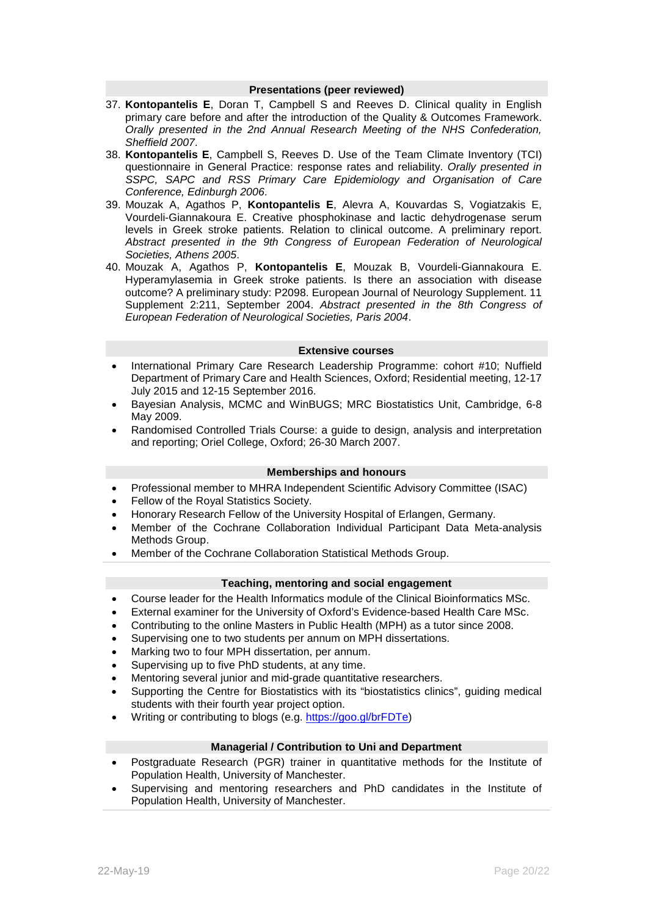#### **Presentations (peer reviewed)**

- 37. **Kontopantelis E**, Doran T, Campbell S and Reeves D. Clinical quality in English primary care before and after the introduction of the Quality & Outcomes Framework. *Orally presented in the 2nd Annual Research Meeting of the NHS Confederation, Sheffield 2007*.
- 38. **Kontopantelis E**, Campbell S, Reeves D. Use of the Team Climate Inventory (TCI) questionnaire in General Practice: response rates and reliability. *Orally presented in SSPC, SAPC and RSS Primary Care Epidemiology and Organisation of Care Conference, Edinburgh 2006*.
- 39. Mouzak A, Agathos P, **Kontopantelis E**, Alevra A, Kouvardas S, Vogiatzakis E, Vourdeli-Giannakoura E. Creative phosphokinase and lactic dehydrogenase serum levels in Greek stroke patients. Relation to clinical outcome. A preliminary report. *Abstract presented in the 9th Congress of European Federation of Neurological Societies, Athens 2005*.
- 40. Mouzak A, Agathos P, **Kontopantelis E**, Mouzak B, Vourdeli-Giannakoura E. Hyperamylasemia in Greek stroke patients. Is there an association with disease outcome? A preliminary study: P2098. European Journal of Neurology Supplement. 11 Supplement 2:211, September 2004. *Abstract presented in the 8th Congress of European Federation of Neurological Societies, Paris 2004*.

## **Extensive courses**

- International Primary Care Research Leadership Programme: cohort #10; Nuffield Department of Primary Care and Health Sciences, Oxford; Residential meeting, 12-17 July 2015 and 12-15 September 2016.
- Bayesian Analysis, MCMC and WinBUGS; MRC Biostatistics Unit, Cambridge, 6-8 May 2009.
- Randomised Controlled Trials Course: a guide to design, analysis and interpretation and reporting; Oriel College, Oxford; 26-30 March 2007.

## **Memberships and honours**

- Professional member to MHRA Independent Scientific Advisory Committee (ISAC)
- Fellow of the Royal Statistics Society.
- Honorary Research Fellow of the University Hospital of Erlangen, Germany.
- Member of the Cochrane Collaboration Individual Participant Data Meta-analysis Methods Group.
- Member of the Cochrane Collaboration Statistical Methods Group.

#### **Teaching, mentoring and social engagement**

- Course leader for the Health Informatics module of the Clinical Bioinformatics MSc.
- External examiner for the University of Oxford's Evidence-based Health Care MSc.
- Contributing to the online Masters in Public Health (MPH) as a tutor since 2008.
- Supervising one to two students per annum on MPH dissertations.
- Marking two to four MPH dissertation, per annum.
- Supervising up to five PhD students, at any time.
- Mentoring several junior and mid-grade quantitative researchers.
- Supporting the Centre for Biostatistics with its "biostatistics clinics", guiding medical students with their fourth year project option.
- Writing or contributing to blogs (e.g. [https://goo.gl/brFDTe\)](https://goo.gl/brFDTe)

#### **Managerial / Contribution to Uni and Department**

- Postgraduate Research (PGR) trainer in quantitative methods for the Institute of Population Health, University of Manchester.
- Supervising and mentoring researchers and PhD candidates in the Institute of Population Health, University of Manchester.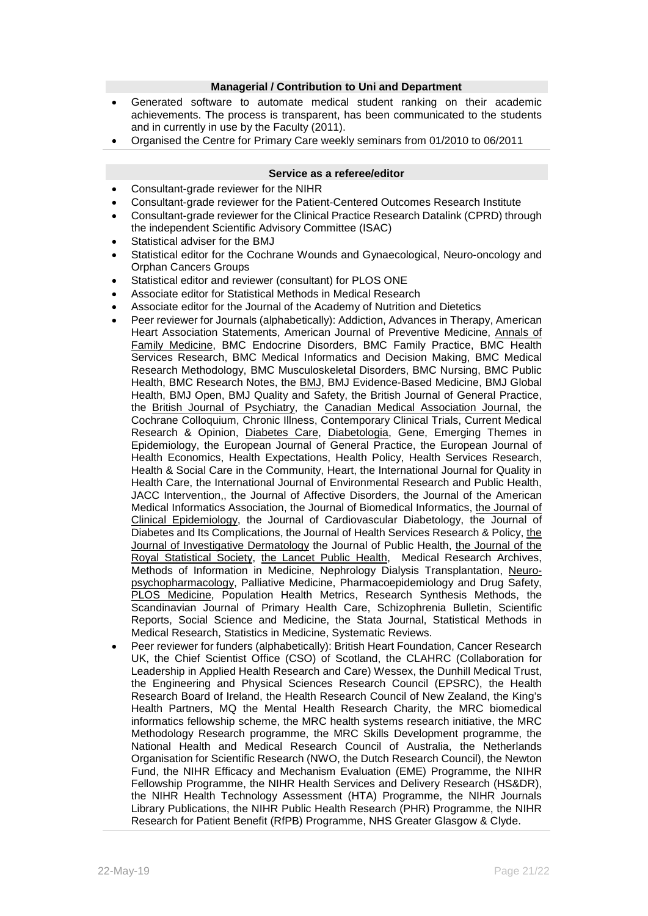#### **Managerial / Contribution to Uni and Department**

- Generated software to automate medical student ranking on their academic achievements. The process is transparent, has been communicated to the students and in currently in use by the Faculty (2011).
- Organised the Centre for Primary Care weekly seminars from 01/2010 to 06/2011

#### **Service as a referee/editor**

- Consultant-grade reviewer for the NIHR
- Consultant-grade reviewer for the Patient-Centered Outcomes Research Institute
- Consultant-grade reviewer for the Clinical Practice Research Datalink (CPRD) through the independent Scientific Advisory Committee (ISAC)
- Statistical adviser for the BMJ
- Statistical editor for the Cochrane Wounds and Gynaecological, Neuro-oncology and Orphan Cancers Groups
- Statistical editor and reviewer (consultant) for PLOS ONE
- Associate editor for Statistical Methods in Medical Research
- Associate editor for the Journal of the Academy of Nutrition and Dietetics
- Peer reviewer for Journals (alphabetically): Addiction, Advances in Therapy, American Heart Association Statements, American Journal of Preventive Medicine, Annals of Family Medicine, BMC Endocrine Disorders, BMC Family Practice, BMC Health Services Research, BMC Medical Informatics and Decision Making, BMC Medical Research Methodology, BMC Musculoskeletal Disorders, BMC Nursing, BMC Public Health, BMC Research Notes, the BMJ, BMJ Evidence-Based Medicine, BMJ Global Health, BMJ Open, BMJ Quality and Safety, the British Journal of General Practice, the British Journal of Psychiatry, the Canadian Medical Association Journal, the Cochrane Colloquium, Chronic Illness, Contemporary Clinical Trials, Current Medical Research & Opinion, Diabetes Care, Diabetologia, Gene, Emerging Themes in Epidemiology, the European Journal of General Practice, the European Journal of Health Economics, Health Expectations, Health Policy, Health Services Research, Health & Social Care in the Community, Heart, the International Journal for Quality in Health Care, the International Journal of Environmental Research and Public Health, JACC Intervention,, the Journal of Affective Disorders, the Journal of the American Medical Informatics Association, the Journal of Biomedical Informatics, the Journal of Clinical Epidemiology, the Journal of Cardiovascular Diabetology, the Journal of Diabetes and Its Complications, the Journal of Health Services Research & Policy, the Journal of Investigative Dermatology the Journal of Public Health, the Journal of the Royal Statistical Society, the Lancet Public Health, Medical Research Archives, Methods of Information in Medicine, Nephrology Dialysis Transplantation, Neuropsychopharmacology, Palliative Medicine, Pharmacoepidemiology and Drug Safety, PLOS Medicine, Population Health Metrics, Research Synthesis Methods, the Scandinavian Journal of Primary Health Care, Schizophrenia Bulletin, Scientific Reports, Social Science and Medicine, the Stata Journal, Statistical Methods in Medical Research, Statistics in Medicine, Systematic Reviews.
- Peer reviewer for funders (alphabetically): British Heart Foundation, Cancer Research UK, the Chief Scientist Office (CSO) of Scotland, the CLAHRC (Collaboration for Leadership in Applied Health Research and Care) Wessex, the Dunhill Medical Trust, the Engineering and Physical Sciences Research Council (EPSRC), the Health Research Board of Ireland, the Health Research Council of New Zealand, the King's Health Partners, MQ the Mental Health Research Charity, the MRC biomedical informatics fellowship scheme, the MRC health systems research initiative, the MRC Methodology Research programme, the MRC Skills Development programme, the National Health and Medical Research Council of Australia, the Netherlands Organisation for Scientific Research (NWO, the Dutch Research Council), the Newton Fund, the NIHR Efficacy and Mechanism Evaluation (EME) Programme, the NIHR Fellowship Programme, the NIHR Health Services and Delivery Research (HS&DR), the NIHR Health Technology Assessment (HTA) Programme, the NIHR Journals Library Publications, the NIHR Public Health Research (PHR) Programme, the NIHR Research for Patient Benefit (RfPB) Programme, NHS Greater Glasgow & Clyde.